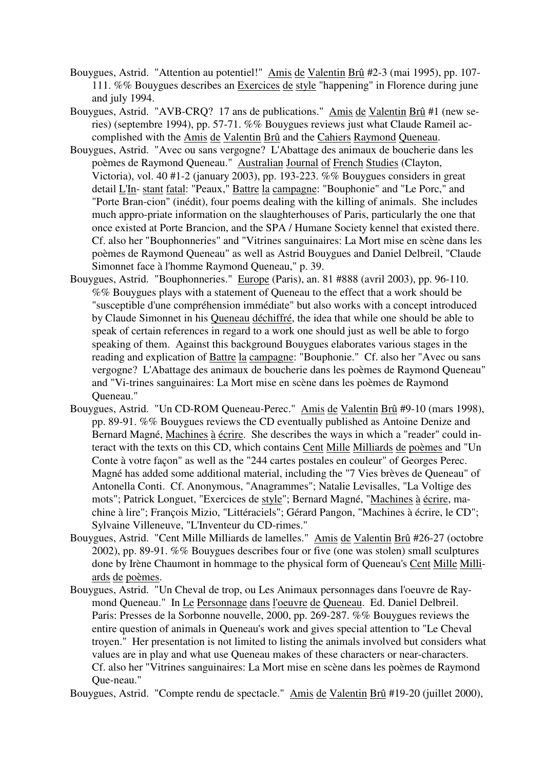- Bouygues, Astrid. "Attention au potentiel!" Amis de Valentin Brû #2-3 (mai 1995), pp. 107- 111. %% Bouygues describes an Exercices de style "happening" in Florence during june and july 1994.
- Bouygues, Astrid. "AVB-CRQ? 17 ans de publications." Amis de Valentin Brû #1 (new series) (septembre 1994), pp. 57-71. %% Bouygues reviews just what Claude Rameil accomplished with the Amis de Valentin Brû and the Cahiers Raymond Queneau.
- Bouygues, Astrid. "Avec ou sans vergogne? L'Abattage des animaux de boucherie dans les poèmes de Raymond Queneau." Australian Journal of French Studies (Clayton, Victoria), vol. 40 #1-2 (january 2003), pp. 193-223. %% Bouygues considers in great detail L'In- stant fatal: "Peaux," Battre la campagne: "Bouphonie" and "Le Porc," and "Porte Bran-cion" (inédit), four poems dealing with the killing of animals. She includes much appro-priate information on the slaughterhouses of Paris, particularly the one that once existed at Porte Brancion, and the SPA / Humane Society kennel that existed there. Cf. also her "Bouphonneries" and "Vitrines sanguinaires: La Mort mise en scène dans les poèmes de Raymond Queneau" as well as Astrid Bouygues and Daniel Delbreil, "Claude Simonnet face à l'homme Raymond Queneau," p. 39.
- Bouygues, Astrid. "Bouphonneries." Europe (Paris), an. 81 #888 (avril 2003), pp. 96-110. %% Bouygues plays with a statement of Queneau to the effect that a work should be "susceptible d'une compréhension immédiate" but also works with a concept introduced by Claude Simonnet in his Queneau déchiffré, the idea that while one should be able to speak of certain references in regard to a work one should just as well be able to forgo speaking of them. Against this background Bouygues elaborates various stages in the reading and explication of Battre la campagne: "Bouphonie." Cf. also her "Avec ou sans vergogne? L'Abattage des animaux de boucherie dans les poèmes de Raymond Queneau" and "Vi-trines sanguinaires: La Mort mise en scène dans les poèmes de Raymond Queneau."
- Bouygues, Astrid. "Un CD-ROM Queneau-Perec." Amis de Valentin Brû #9-10 (mars 1998), pp. 89-91. %% Bouygues reviews the CD eventually published as Antoine Denize and Bernard Magné, Machines à écrire. She describes the ways in which a "reader" could interact with the texts on this CD, which contains Cent Mille Milliards de poèmes and "Un Conte à votre façon" as well as the "244 cartes postales en couleur" of Georges Perec. Magné has added some additional material, including the "7 Vies brèves de Queneau" of Antonella Conti. Cf. Anonymous, "Anagrammes"; Natalie Levisalles, "La Voltige des mots"; Patrick Longuet, "Exercices de style"; Bernard Magné, "Machines à écrire, machine à lire"; François Mizio, "Littéraciels"; Gérard Pangon, "Machines à écrire, le CD"; Sylvaine Villeneuve, "L'Inventeur du CD-rimes."
- Bouygues, Astrid. "Cent Mille Milliards de lamelles." Amis de Valentin Brû #26-27 (octobre 2002), pp. 89-91. %% Bouygues describes four or five (one was stolen) small sculptures done by Irène Chaumont in hommage to the physical form of Queneau's Cent Mille Milliards de poèmes.
- Bouygues, Astrid. "Un Cheval de trop, ou Les Animaux personnages dans l'oeuvre de Raymond Queneau." In Le Personnage dans l'oeuvre de Queneau. Ed. Daniel Delbreil. Paris: Presses de la Sorbonne nouvelle, 2000, pp. 269-287. %% Bouygues reviews the entire question of animals in Queneau's work and gives special attention to "Le Cheval troyen." Her presentation is not limited to listing the animals involved but considers what values are in play and what use Queneau makes of these characters or near-characters. Cf. also her "Vitrines sanguinaires: La Mort mise en scène dans les poèmes de Raymond Que-neau."

Bouygues, Astrid. "Compte rendu de spectacle." Amis de Valentin Brû #19-20 (juillet 2000),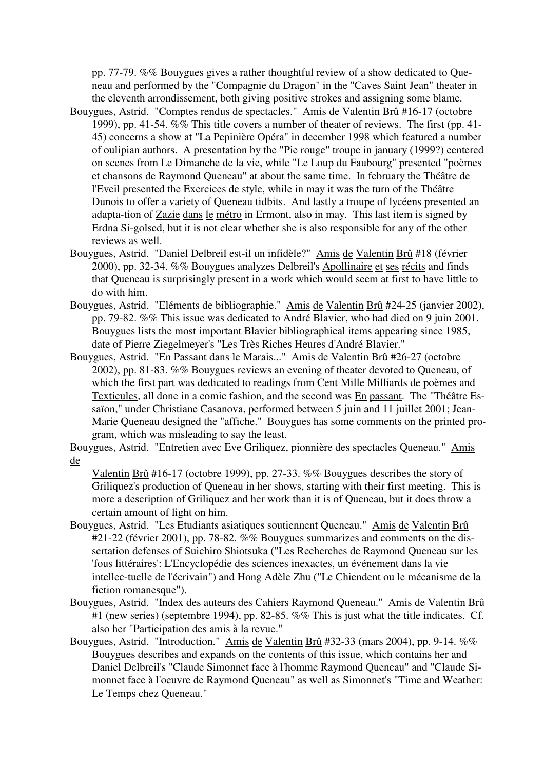pp. 77-79. %% Bouygues gives a rather thoughtful review of a show dedicated to Queneau and performed by the "Compagnie du Dragon" in the "Caves Saint Jean" theater in the eleventh arrondissement, both giving positive strokes and assigning some blame.

- Bouygues, Astrid. "Comptes rendus de spectacles." Amis de Valentin Brû #16-17 (octobre 1999), pp. 41-54. %% This title covers a number of theater of reviews. The first (pp. 41- 45) concerns a show at "La Pepinière Opéra" in december 1998 which featured a number of oulipian authors. A presentation by the "Pie rouge" troupe in january (1999?) centered on scenes from Le Dimanche de la vie, while "Le Loup du Faubourg" presented "poèmes et chansons de Raymond Queneau" at about the same time. In february the Théâtre de l'Eveil presented the Exercices de style, while in may it was the turn of the Théâtre Dunois to offer a variety of Queneau tidbits. And lastly a troupe of lycéens presented an adapta-tion of Zazie dans le métro in Ermont, also in may. This last item is signed by Erdna Si-golsed, but it is not clear whether she is also responsible for any of the other reviews as well.
- Bouygues, Astrid. "Daniel Delbreil est-il un infidèle?" Amis de Valentin Brû #18 (février 2000), pp. 32-34. %% Bouygues analyzes Delbreil's Apollinaire et ses récits and finds that Queneau is surprisingly present in a work which would seem at first to have little to do with him.
- Bouygues, Astrid. "Eléments de bibliographie." Amis de Valentin Brû #24-25 (janvier 2002), pp. 79-82. %% This issue was dedicated to André Blavier, who had died on 9 juin 2001. Bouygues lists the most important Blavier bibliographical items appearing since 1985, date of Pierre Ziegelmeyer's "Les Très Riches Heures d'André Blavier."
- Bouygues, Astrid. "En Passant dans le Marais..." Amis de Valentin Brû #26-27 (octobre 2002), pp. 81-83. %% Bouygues reviews an evening of theater devoted to Queneau, of which the first part was dedicated to readings from Cent Mille Milliards de poèmes and Texticules, all done in a comic fashion, and the second was En passant. The "Théâtre Essaïon," under Christiane Casanova, performed between 5 juin and 11 juillet 2001; Jean-Marie Queneau designed the "affiche." Bouygues has some comments on the printed program, which was misleading to say the least.

Bouygues, Astrid. "Entretien avec Eve Griliquez, pionnière des spectacles Queneau." Amis de

Valentin Brû #16-17 (octobre 1999), pp. 27-33. %% Bouygues describes the story of Griliquez's production of Queneau in her shows, starting with their first meeting. This is more a description of Griliquez and her work than it is of Queneau, but it does throw a certain amount of light on him.

- Bouygues, Astrid. "Les Etudiants asiatiques soutiennent Queneau." Amis de Valentin Brû #21-22 (février 2001), pp. 78-82. %% Bouygues summarizes and comments on the dissertation defenses of Suichiro Shiotsuka ("Les Recherches de Raymond Queneau sur les 'fous littéraires': L'Encyclopédie des sciences inexactes, un événement dans la vie intellec-tuelle de l'écrivain") and Hong Adèle Zhu ("Le Chiendent ou le mécanisme de la fiction romanesque").
- Bouygues, Astrid. "Index des auteurs des Cahiers Raymond Queneau." Amis de Valentin Brû #1 (new series) (septembre 1994), pp. 82-85. %% This is just what the title indicates. Cf. also her "Participation des amis à la revue."
- Bouygues, Astrid. "Introduction." Amis de Valentin Brû #32-33 (mars 2004), pp. 9-14. %% Bouygues describes and expands on the contents of this issue, which contains her and Daniel Delbreil's "Claude Simonnet face à l'homme Raymond Queneau" and "Claude Simonnet face à l'oeuvre de Raymond Queneau" as well as Simonnet's "Time and Weather: Le Temps chez Queneau."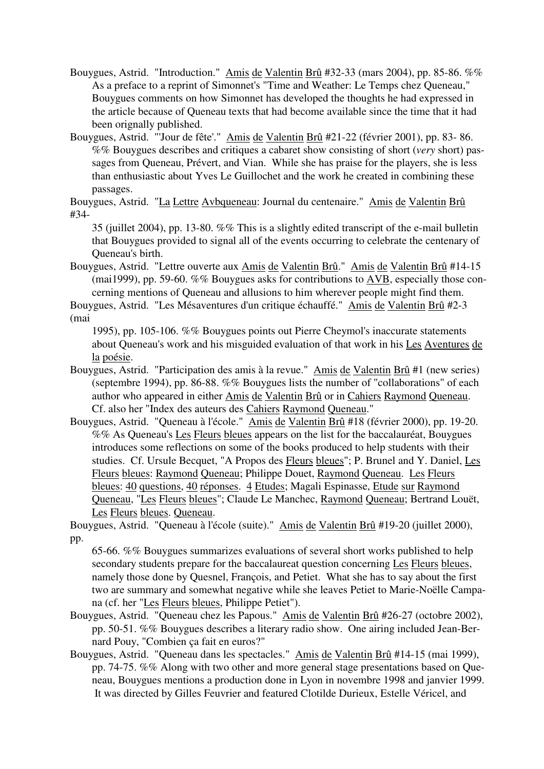- Bouygues, Astrid. "Introduction." Amis de Valentin Brû #32-33 (mars 2004), pp. 85-86. %% As a preface to a reprint of Simonnet's "Time and Weather: Le Temps chez Queneau," Bouygues comments on how Simonnet has developed the thoughts he had expressed in the article because of Queneau texts that had become available since the time that it had been orignally published.
- Bouygues, Astrid. "'Jour de fête'." Amis de Valentin Brû #21-22 (février 2001), pp. 83- 86. %% Bouygues describes and critiques a cabaret show consisting of short (*very* short) passages from Queneau, Prévert, and Vian. While she has praise for the players, she is less than enthusiastic about Yves Le Guillochet and the work he created in combining these passages.

Bouygues, Astrid. "La Lettre Avbqueneau: Journal du centenaire." Amis de Valentin Brû #34-

35 (juillet 2004), pp. 13-80. %% This is a slightly edited transcript of the e-mail bulletin that Bouygues provided to signal all of the events occurring to celebrate the centenary of Queneau's birth.

Bouygues, Astrid. "Lettre ouverte aux Amis de Valentin Brû." Amis de Valentin Brû #14-15 (mai1999), pp. 59-60. %% Bouygues asks for contributions to AVB, especially those concerning mentions of Queneau and allusions to him wherever people might find them.

Bouygues, Astrid. "Les Mésaventures d'un critique échauffé." Amis de Valentin Brû #2-3 (mai

1995), pp. 105-106. %% Bouygues points out Pierre Cheymol's inaccurate statements about Queneau's work and his misguided evaluation of that work in his Les Aventures de la poésie.

- Bouygues, Astrid. "Participation des amis à la revue." Amis de Valentin Brû #1 (new series) (septembre 1994), pp. 86-88. %% Bouygues lists the number of "collaborations" of each author who appeared in either Amis de Valentin Brû or in Cahiers Raymond Queneau. Cf. also her "Index des auteurs des Cahiers Raymond Queneau."
- Bouygues, Astrid. "Queneau à l'école." Amis de Valentin Brû #18 (février 2000), pp. 19-20. %% As Queneau's Les Fleurs bleues appears on the list for the baccalauréat, Bouygues introduces some reflections on some of the books produced to help students with their studies. Cf. Ursule Becquet, "A Propos des Fleurs bleues"; P. Brunel and Y. Daniel, Les Fleurs bleues: Raymond Queneau; Philippe Douet, Raymond Queneau. Les Fleurs bleues: 40 questions, 40 réponses. 4 Etudes; Magali Espinasse, Etude sur Raymond Queneau, "Les Fleurs bleues"; Claude Le Manchec, Raymond Queneau; Bertrand Louët, Les Fleurs bleues. Queneau.

Bouygues, Astrid. "Queneau à l'école (suite)." Amis de Valentin Brû #19-20 (juillet 2000), pp.

65-66. %% Bouygues summarizes evaluations of several short works published to help secondary students prepare for the baccalaureat question concerning Les Fleurs bleues, namely those done by Quesnel, François, and Petiet. What she has to say about the first two are summary and somewhat negative while she leaves Petiet to Marie-Noëlle Campana (cf. her "Les Fleurs bleues, Philippe Petiet").

- Bouygues, Astrid. "Queneau chez les Papous." Amis de Valentin Brû #26-27 (octobre 2002), pp. 50-51. %% Bouygues describes a literary radio show. One airing included Jean-Bernard Pouy, "Combien ça fait en euros?"
- Bouygues, Astrid. "Queneau dans les spectacles." Amis de Valentin Brû #14-15 (mai 1999), pp. 74-75. %% Along with two other and more general stage presentations based on Queneau, Bouygues mentions a production done in Lyon in novembre 1998 and janvier 1999. It was directed by Gilles Feuvrier and featured Clotilde Durieux, Estelle Véricel, and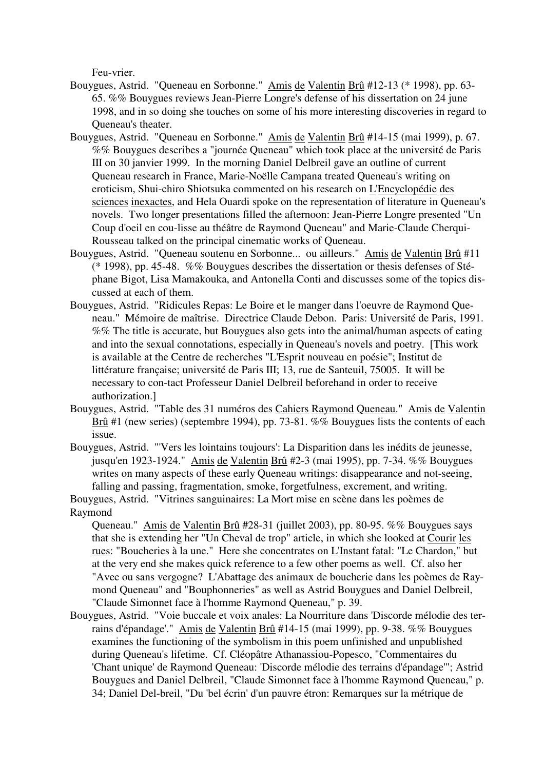Feu-vrier.

- Bouygues, Astrid. "Queneau en Sorbonne." Amis de Valentin Brû #12-13 (\* 1998), pp. 63- 65. %% Bouygues reviews Jean-Pierre Longre's defense of his dissertation on 24 june 1998, and in so doing she touches on some of his more interesting discoveries in regard to Queneau's theater.
- Bouygues, Astrid. "Queneau en Sorbonne." Amis de Valentin Brû #14-15 (mai 1999), p. 67. %% Bouygues describes a "journée Queneau" which took place at the université de Paris III on 30 janvier 1999. In the morning Daniel Delbreil gave an outline of current Queneau research in France, Marie-Noëlle Campana treated Queneau's writing on eroticism, Shui-chiro Shiotsuka commented on his research on L'Encyclopédie des sciences inexactes, and Hela Ouardi spoke on the representation of literature in Queneau's novels. Two longer presentations filled the afternoon: Jean-Pierre Longre presented "Un Coup d'oeil en cou-lisse au théâtre de Raymond Queneau" and Marie-Claude Cherqui-Rousseau talked on the principal cinematic works of Queneau.
- Bouygues, Astrid. "Queneau soutenu en Sorbonne... ou ailleurs." Amis de Valentin Brû #11 (\* 1998), pp. 45-48. %% Bouygues describes the dissertation or thesis defenses of Stéphane Bigot, Lisa Mamakouka, and Antonella Conti and discusses some of the topics discussed at each of them.
- Bouygues, Astrid. "Ridicules Repas: Le Boire et le manger dans l'oeuvre de Raymond Queneau." Mémoire de maîtrise. Directrice Claude Debon. Paris: Université de Paris, 1991. %% The title is accurate, but Bouygues also gets into the animal/human aspects of eating and into the sexual connotations, especially in Queneau's novels and poetry. [This work is available at the Centre de recherches "L'Esprit nouveau en poésie"; Institut de littérature française; université de Paris III; 13, rue de Santeuil, 75005. It will be necessary to con-tact Professeur Daniel Delbreil beforehand in order to receive authorization.]
- Bouygues, Astrid. "Table des 31 numéros des Cahiers Raymond Queneau." Amis de Valentin Brû #1 (new series) (septembre 1994), pp. 73-81. %% Bouygues lists the contents of each issue.
- Bouygues, Astrid. "'Vers les lointains toujours': La Disparition dans les inédits de jeunesse, jusqu'en 1923-1924." Amis de Valentin Brû #2-3 (mai 1995), pp. 7-34. %% Bouygues writes on many aspects of these early Queneau writings: disappearance and not-seeing, falling and passing, fragmentation, smoke, forgetfulness, excrement, and writing.

Bouygues, Astrid. "Vitrines sanguinaires: La Mort mise en scène dans les poèmes de Raymond

Queneau." Amis de Valentin Brû #28-31 (juillet 2003), pp. 80-95. %% Bouygues says that she is extending her "Un Cheval de trop" article, in which she looked at Courir les rues: "Boucheries à la une." Here she concentrates on L'Instant fatal: "Le Chardon," but at the very end she makes quick reference to a few other poems as well. Cf. also her "Avec ou sans vergogne? L'Abattage des animaux de boucherie dans les poèmes de Raymond Queneau" and "Bouphonneries" as well as Astrid Bouygues and Daniel Delbreil, "Claude Simonnet face à l'homme Raymond Queneau," p. 39.

Bouygues, Astrid. "Voie buccale et voix anales: La Nourriture dans 'Discorde mélodie des terrains d'épandage'." Amis de Valentin Brû #14-15 (mai 1999), pp. 9-38. %% Bouygues examines the functioning of the symbolism in this poem unfinished and unpublished during Queneau's lifetime. Cf. Cléopâtre Athanassiou-Popesco, "Commentaires du 'Chant unique' de Raymond Queneau: 'Discorde mélodie des terrains d'épandage'"; Astrid Bouygues and Daniel Delbreil, "Claude Simonnet face à l'homme Raymond Queneau," p. 34; Daniel Del-breil, "Du 'bel écrin' d'un pauvre étron: Remarques sur la métrique de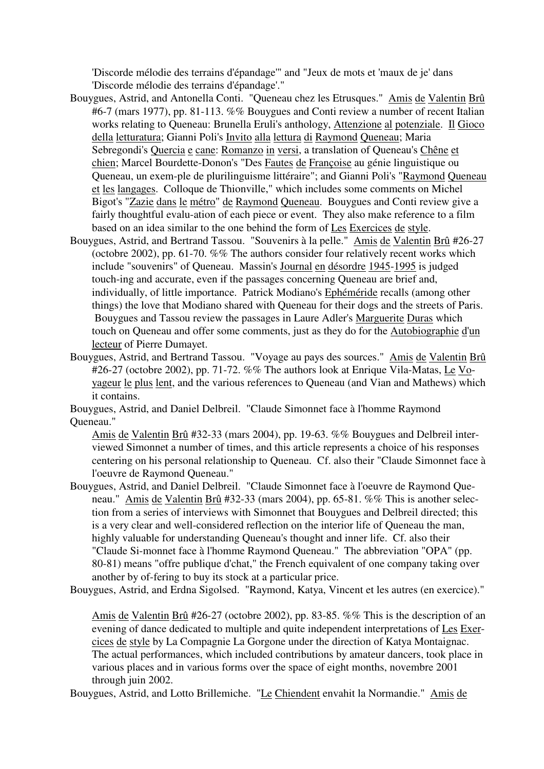'Discorde mélodie des terrains d'épandage'" and "Jeux de mots et 'maux de je' dans 'Discorde mélodie des terrains d'épandage'."

- Bouygues, Astrid, and Antonella Conti. "Queneau chez les Etrusques." Amis de Valentin Brû #6-7 (mars 1977), pp. 81-113. %% Bouygues and Conti review a number of recent Italian works relating to Queneau: Brunella Eruli's anthology, Attenzione al potenziale. Il Gioco della letturatura; Gianni Poli's Invito alla lettura di Raymond Queneau; Maria Sebregondi's Quercia e cane: Romanzo in versi, a translation of Queneau's Chêne et chien; Marcel Bourdette-Donon's "Des Fautes de Françoise au génie linguistique ou Queneau, un exem-ple de plurilinguisme littéraire"; and Gianni Poli's "Raymond Queneau et les langages. Colloque de Thionville," which includes some comments on Michel Bigot's "Zazie dans le métro" de Raymond Queneau. Bouygues and Conti review give a fairly thoughtful evalu-ation of each piece or event. They also make reference to a film based on an idea similar to the one behind the form of Les Exercices de style.
- Bouygues, Astrid, and Bertrand Tassou. "Souvenirs à la pelle." Amis de Valentin Brû #26-27 (octobre 2002), pp. 61-70. %% The authors consider four relatively recent works which include "souvenirs" of Queneau. Massin's Journal en désordre 1945-1995 is judged touch-ing and accurate, even if the passages concerning Queneau are brief and, individually, of little importance. Patrick Modiano's Ephéméride recalls (among other things) the love that Modiano shared with Queneau for their dogs and the streets of Paris. Bouygues and Tassou review the passages in Laure Adler's Marguerite Duras which touch on Queneau and offer some comments, just as they do for the Autobiographie d'un lecteur of Pierre Dumayet.
- Bouygues, Astrid, and Bertrand Tassou. "Voyage au pays des sources." Amis de Valentin Brû #26-27 (octobre 2002), pp. 71-72. %% The authors look at Enrique Vila-Matas, Le Voyageur le plus lent, and the various references to Queneau (and Vian and Mathews) which it contains.

Bouygues, Astrid, and Daniel Delbreil. "Claude Simonnet face à l'homme Raymond Queneau."

Amis de Valentin Brû #32-33 (mars 2004), pp. 19-63. %% Bouygues and Delbreil interviewed Simonnet a number of times, and this article represents a choice of his responses centering on his personal relationship to Queneau. Cf. also their "Claude Simonnet face à l'oeuvre de Raymond Queneau."

- Bouygues, Astrid, and Daniel Delbreil. "Claude Simonnet face à l'oeuvre de Raymond Queneau." Amis de Valentin Brû #32-33 (mars 2004), pp. 65-81. %% This is another selection from a series of interviews with Simonnet that Bouygues and Delbreil directed; this is a very clear and well-considered reflection on the interior life of Queneau the man, highly valuable for understanding Queneau's thought and inner life. Cf. also their "Claude Si-monnet face à l'homme Raymond Queneau." The abbreviation "OPA" (pp. 80-81) means "offre publique d'chat," the French equivalent of one company taking over another by of-fering to buy its stock at a particular price.
- Bouygues, Astrid, and Erdna Sigolsed. "Raymond, Katya, Vincent et les autres (en exercice)."

Amis de Valentin Brû #26-27 (octobre 2002), pp. 83-85. %% This is the description of an evening of dance dedicated to multiple and quite independent interpretations of Les Exercices de style by La Compagnie La Gorgone under the direction of Katya Montaignac. The actual performances, which included contributions by amateur dancers, took place in various places and in various forms over the space of eight months, novembre 2001 through juin 2002.

Bouygues, Astrid, and Lotto Brillemiche. "Le Chiendent envahit la Normandie." Amis de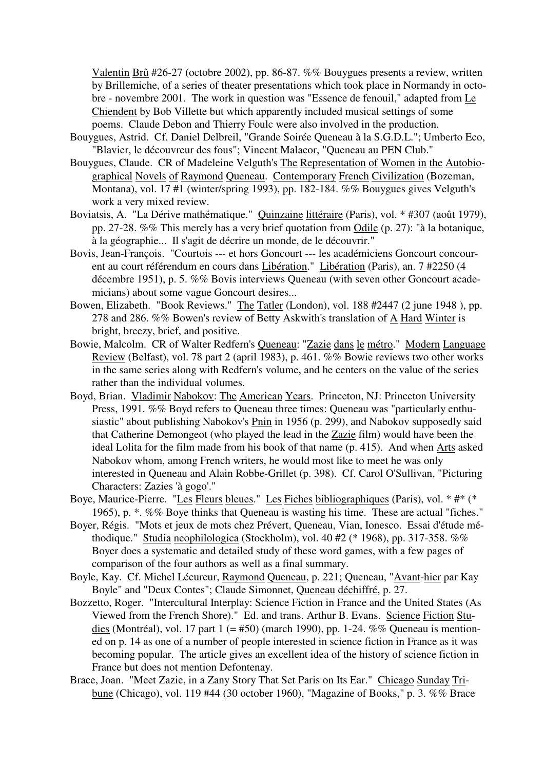Valentin Brû #26-27 (octobre 2002), pp. 86-87. %% Bouygues presents a review, written by Brillemiche, of a series of theater presentations which took place in Normandy in octobre - novembre 2001. The work in question was "Essence de fenouil," adapted from Le Chiendent by Bob Villette but which apparently included musical settings of some poems. Claude Debon and Thierry Foulc were also involved in the production.

- Bouygues, Astrid. Cf. Daniel Delbreil, "Grande Soirée Queneau à la S.G.D.L."; Umberto Eco, "Blavier, le découvreur des fous"; Vincent Malacor, "Queneau au PEN Club."
- Bouygues, Claude. CR of Madeleine Velguth's The Representation of Women in the Autobiographical Novels of Raymond Queneau. Contemporary French Civilization (Bozeman, Montana), vol. 17 #1 (winter/spring 1993), pp. 182-184. %% Bouygues gives Velguth's work a very mixed review.
- Boviatsis, A. "La Dérive mathématique." Quinzaine littéraire (Paris), vol. \* #307 (août 1979), pp. 27-28. %% This merely has a very brief quotation from Odile (p. 27): "à la botanique, à la géographie... Il s'agit de décrire un monde, de le découvrir."
- Bovis, Jean-François. "Courtois --- et hors Goncourt --- les académiciens Goncourt concourent au court référendum en cours dans Libération." Libération (Paris), an. 7 #2250 (4 décembre 1951), p. 5. %% Bovis interviews Queneau (with seven other Goncourt academicians) about some vague Goncourt desires...
- Bowen, Elizabeth. "Book Reviews." The Tatler (London), vol. 188 #2447 (2 june 1948 ), pp. 278 and 286. %% Bowen's review of Betty Askwith's translation of A Hard Winter is bright, breezy, brief, and positive.
- Bowie, Malcolm. CR of Walter Redfern's Queneau: "Zazie dans le métro." Modern Language Review (Belfast), vol. 78 part 2 (april 1983), p. 461. %% Bowie reviews two other works in the same series along with Redfern's volume, and he centers on the value of the series rather than the individual volumes.
- Boyd, Brian. Vladimir Nabokov: The American Years. Princeton, NJ: Princeton University Press, 1991. %% Boyd refers to Queneau three times: Queneau was "particularly enthusiastic" about publishing Nabokov's Pnin in 1956 (p. 299), and Nabokov supposedly said that Catherine Demongeot (who played the lead in the Zazie film) would have been the ideal Lolita for the film made from his book of that name (p. 415). And when Arts asked Nabokov whom, among French writers, he would most like to meet he was only interested in Queneau and Alain Robbe-Grillet (p. 398). Cf. Carol O'Sullivan, "Picturing Characters: Zazies 'à gogo'."
- Boye, Maurice-Pierre. "Les Fleurs bleues." Les Fiches bibliographiques (Paris), vol. \* #\* (\* 1965), p. \*. %% Boye thinks that Queneau is wasting his time. These are actual "fiches."
- Boyer, Régis. "Mots et jeux de mots chez Prévert, Queneau, Vian, Ionesco. Essai d'étude méthodique." Studia neophilologica (Stockholm), vol. 40 #2 (\* 1968), pp. 317-358. %% Boyer does a systematic and detailed study of these word games, with a few pages of comparison of the four authors as well as a final summary.
- Boyle, Kay. Cf. Michel Lécureur, Raymond Queneau, p. 221; Queneau, "Avant-hier par Kay Boyle" and "Deux Contes"; Claude Simonnet, Queneau déchiffré, p. 27.
- Bozzetto, Roger. "Intercultural Interplay: Science Fiction in France and the United States (As Viewed from the French Shore)." Ed. and trans. Arthur B. Evans. Science Fiction Studies (Montréal), vol. 17 part 1 (= #50) (march 1990), pp. 1-24. %% Queneau is mentioned on p. 14 as one of a number of people interested in science fiction in France as it was becoming popular. The article gives an excellent idea of the history of science fiction in France but does not mention Defontenay.
- Brace, Joan. "Meet Zazie, in a Zany Story That Set Paris on Its Ear." Chicago Sunday Tribune (Chicago), vol. 119 #44 (30 october 1960), "Magazine of Books," p. 3. %% Brace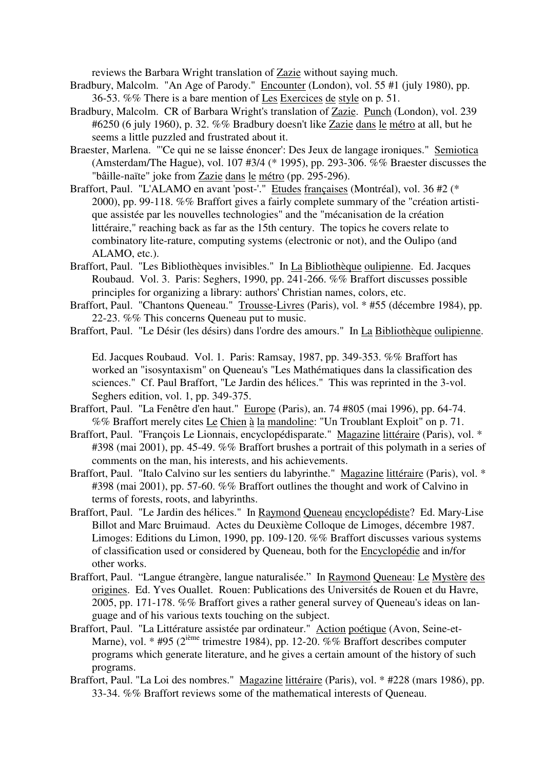reviews the Barbara Wright translation of Zazie without saying much.

- Bradbury, Malcolm. "An Age of Parody." Encounter (London), vol. 55 #1 (july 1980), pp. 36-53. %% There is a bare mention of Les Exercices de style on p. 51.
- Bradbury, Malcolm. CR of Barbara Wright's translation of Zazie. Punch (London), vol. 239 #6250 (6 july 1960), p. 32. %% Bradbury doesn't like Zazie dans le métro at all, but he seems a little puzzled and frustrated about it.
- Braester, Marlena. "'Ce qui ne se laisse énoncer': Des Jeux de langage ironiques." Semiotica (Amsterdam/The Hague), vol. 107 #3/4 (\* 1995), pp. 293-306. %% Braester discusses the "bâille-naïte" joke from Zazie dans le métro (pp. 295-296).
- Braffort, Paul. "L'ALAMO en avant 'post-'." Etudes françaises (Montréal), vol. 36 #2 (\* 2000), pp. 99-118. %% Braffort gives a fairly complete summary of the "création artistique assistée par les nouvelles technologies" and the "mécanisation de la création littéraire," reaching back as far as the 15th century. The topics he covers relate to combinatory lite-rature, computing systems (electronic or not), and the Oulipo (and ALAMO, etc.).
- Braffort, Paul. "Les Bibliothèques invisibles." In La Bibliothèque oulipienne. Ed. Jacques Roubaud. Vol. 3. Paris: Seghers, 1990, pp. 241-266. %% Braffort discusses possible principles for organizing a library: authors' Christian names, colors, etc.
- Braffort, Paul. "Chantons Queneau." Trousse-Livres (Paris), vol. \* #55 (décembre 1984), pp. 22-23. %% This concerns Queneau put to music.
- Braffort, Paul. "Le Désir (les désirs) dans l'ordre des amours." In La Bibliothèque oulipienne.

Ed. Jacques Roubaud. Vol. 1. Paris: Ramsay, 1987, pp. 349-353. %% Braffort has worked an "isosyntaxism" on Queneau's "Les Mathématiques dans la classification des sciences." Cf. Paul Braffort, "Le Jardin des hélices." This was reprinted in the 3-vol. Seghers edition, vol. 1, pp. 349-375.

- Braffort, Paul. "La Fenêtre d'en haut." Europe (Paris), an. 74 #805 (mai 1996), pp. 64-74. %% Braffort merely cites Le Chien à la mandoline: "Un Troublant Exploit" on p. 71.
- Braffort, Paul. "François Le Lionnais, encyclopédisparate." Magazine littéraire (Paris), vol. \* #398 (mai 2001), pp. 45-49. %% Braffort brushes a portrait of this polymath in a series of comments on the man, his interests, and his achievements.
- Braffort, Paul. "Italo Calvino sur les sentiers du labyrinthe." Magazine littéraire (Paris), vol. \* #398 (mai 2001), pp. 57-60. %% Braffort outlines the thought and work of Calvino in terms of forests, roots, and labyrinths.
- Braffort, Paul. "Le Jardin des hélices." In Raymond Queneau encyclopédiste? Ed. Mary-Lise Billot and Marc Bruimaud. Actes du Deuxième Colloque de Limoges, décembre 1987. Limoges: Editions du Limon, 1990, pp. 109-120. %% Braffort discusses various systems of classification used or considered by Queneau, both for the Encyclopédie and in/for other works.
- Braffort, Paul. "Langue étrangère, langue naturalisée." In Raymond Queneau: Le Mystère des origines. Ed. Yves Ouallet. Rouen: Publications des Universités de Rouen et du Havre, 2005, pp. 171-178. %% Braffort gives a rather general survey of Queneau's ideas on language and of his various texts touching on the subject.
- Braffort, Paul. "La Littérature assistée par ordinateur." Action poétique (Avon, Seine-et-Marne), vol. \* #95 ( $2^{i\text{eme}}$  trimestre 1984), pp. 12-20. %% Braffort describes computer programs which generate literature, and he gives a certain amount of the history of such programs.
- Braffort, Paul. "La Loi des nombres." Magazine littéraire (Paris), vol. \* #228 (mars 1986), pp. 33-34. %% Braffort reviews some of the mathematical interests of Queneau.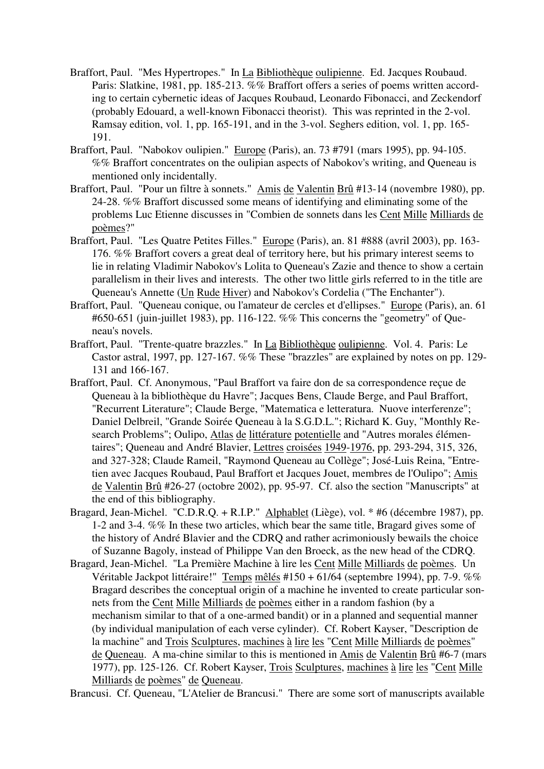- Braffort, Paul. "Mes Hypertropes." In La Bibliothèque oulipienne. Ed. Jacques Roubaud. Paris: Slatkine, 1981, pp. 185-213. %% Braffort offers a series of poems written according to certain cybernetic ideas of Jacques Roubaud, Leonardo Fibonacci, and Zeckendorf (probably Edouard, a well-known Fibonacci theorist). This was reprinted in the 2-vol. Ramsay edition, vol. 1, pp. 165-191, and in the 3-vol. Seghers edition, vol. 1, pp. 165- 191.
- Braffort, Paul. "Nabokov oulipien." Europe (Paris), an. 73 #791 (mars 1995), pp. 94-105. %% Braffort concentrates on the oulipian aspects of Nabokov's writing, and Queneau is mentioned only incidentally.
- Braffort, Paul. "Pour un filtre à sonnets." Amis de Valentin Brû #13-14 (novembre 1980), pp. 24-28. %% Braffort discussed some means of identifying and eliminating some of the problems Luc Etienne discusses in "Combien de sonnets dans les Cent Mille Milliards de poèmes?"
- Braffort, Paul. "Les Quatre Petites Filles." Europe (Paris), an. 81 #888 (avril 2003), pp. 163-176. %% Braffort covers a great deal of territory here, but his primary interest seems to lie in relating Vladimir Nabokov's Lolita to Queneau's Zazie and thence to show a certain parallelism in their lives and interests. The other two little girls referred to in the title are Queneau's Annette (Un Rude Hiver) and Nabokov's Cordelia ("The Enchanter").
- Braffort, Paul. "Queneau conique, ou l'amateur de cercles et d'ellipses." Europe (Paris), an. 61 #650-651 (juin-juillet 1983), pp. 116-122. %% This concerns the "geometry" of Queneau's novels.
- Braffort, Paul. "Trente-quatre brazzles." In La Bibliothèque oulipienne. Vol. 4. Paris: Le Castor astral, 1997, pp. 127-167. %% These "brazzles" are explained by notes on pp. 129- 131 and 166-167.
- Braffort, Paul. Cf. Anonymous, "Paul Braffort va faire don de sa correspondence reçue de Queneau à la bibliothèque du Havre"; Jacques Bens, Claude Berge, and Paul Braffort, "Recurrent Literature"; Claude Berge, "Matematica e letteratura. Nuove interferenze"; Daniel Delbreil, "Grande Soirée Queneau à la S.G.D.L."; Richard K. Guy, "Monthly Research Problems"; Oulipo, Atlas de littérature potentielle and "Autres morales élémentaires"; Queneau and André Blavier, Lettres croisées 1949-1976, pp. 293-294, 315, 326, and 327-328; Claude Rameil, "Raymond Queneau au Collège"; José-Luis Reina, "Entretien avec Jacques Roubaud, Paul Braffort et Jacques Jouet, membres de l'Oulipo"; Amis de Valentin Brû #26-27 (octobre 2002), pp. 95-97. Cf. also the section "Manuscripts" at the end of this bibliography.
- Bragard, Jean-Michel. "C.D.R.Q. + R.I.P." Alphablet (Liège), vol. \* #6 (décembre 1987), pp. 1-2 and 3-4. %% In these two articles, which bear the same title, Bragard gives some of the history of André Blavier and the CDRQ and rather acrimoniously bewails the choice of Suzanne Bagoly, instead of Philippe Van den Broeck, as the new head of the CDRQ.
- Bragard, Jean-Michel. "La Première Machine à lire les Cent Mille Milliards de poèmes. Un Véritable Jackpot littéraire!" Temps mêlés #150 + 61/64 (septembre 1994), pp. 7-9. %% Bragard describes the conceptual origin of a machine he invented to create particular sonnets from the Cent Mille Milliards de poèmes either in a random fashion (by a mechanism similar to that of a one-armed bandit) or in a planned and sequential manner (by individual manipulation of each verse cylinder). Cf. Robert Kayser, "Description de la machine" and Trois Sculptures, machines à lire les "Cent Mille Milliards de poèmes" de Queneau. A ma-chine similar to this is mentioned in Amis de Valentin Brû #6-7 (mars 1977), pp. 125-126. Cf. Robert Kayser, Trois Sculptures, machines à lire les "Cent Mille Milliards de poèmes" de Queneau.

Brancusi. Cf. Queneau, "L'Atelier de Brancusi." There are some sort of manuscripts available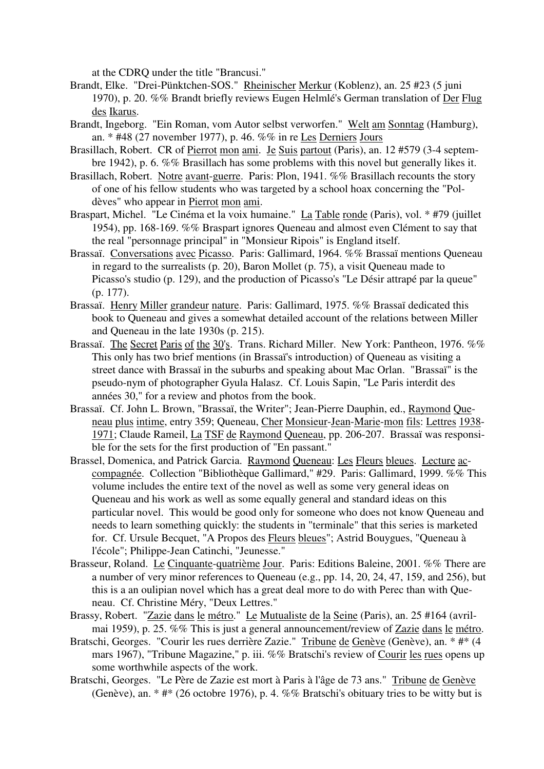at the CDRQ under the title "Brancusi."

- Brandt, Elke. "Drei-Pünktchen-SOS." Rheinischer Merkur (Koblenz), an. 25 #23 (5 juni 1970), p. 20. %% Brandt briefly reviews Eugen Helmlé's German translation of Der Flug des Ikarus.
- Brandt, Ingeborg. "Ein Roman, vom Autor selbst verworfen." Welt am Sonntag (Hamburg), an. \* #48 (27 november 1977), p. 46. %% in re Les Derniers Jours
- Brasillach, Robert. CR of Pierrot mon ami. Je Suis partout (Paris), an. 12 #579 (3-4 septembre 1942), p. 6. %% Brasillach has some problems with this novel but generally likes it.
- Brasillach, Robert. Notre avant-guerre. Paris: Plon, 1941. %% Brasillach recounts the story of one of his fellow students who was targeted by a school hoax concerning the "Poldèves" who appear in Pierrot mon ami.
- Braspart, Michel. "Le Cinéma et la voix humaine." La Table ronde (Paris), vol. \* #79 (juillet 1954), pp. 168-169. %% Braspart ignores Queneau and almost even Clément to say that the real "personnage principal" in "Monsieur Ripois" is England itself.
- Brassaï. Conversations avec Picasso. Paris: Gallimard, 1964. %% Brassaï mentions Queneau in regard to the surrealists (p. 20), Baron Mollet (p. 75), a visit Queneau made to Picasso's studio (p. 129), and the production of Picasso's "Le Désir attrapé par la queue" (p. 177).
- Brassaï. Henry Miller grandeur nature. Paris: Gallimard, 1975. %% Brassaï dedicated this book to Queneau and gives a somewhat detailed account of the relations between Miller and Queneau in the late 1930s (p. 215).
- Brassaï. The Secret Paris of the 30's. Trans. Richard Miller. New York: Pantheon, 1976. %% This only has two brief mentions (in Brassaï's introduction) of Queneau as visiting a street dance with Brassaï in the suburbs and speaking about Mac Orlan. "Brassaï" is the pseudo-nym of photographer Gyula Halasz. Cf. Louis Sapin, "Le Paris interdit des années 30," for a review and photos from the book.
- Brassaï. Cf. John L. Brown, "Brassaï, the Writer"; Jean-Pierre Dauphin, ed., Raymond Queneau plus intime, entry 359; Queneau, Cher Monsieur-Jean-Marie-mon fils: Lettres 1938- 1971; Claude Rameil, La TSF de Raymond Queneau, pp. 206-207. Brassaï was responsible for the sets for the first production of "En passant."
- Brassel, Domenica, and Patrick Garcia. Raymond Queneau: Les Fleurs bleues. Lecture accompagnée. Collection "Bibliothèque Gallimard," #29. Paris: Gallimard, 1999. %% This volume includes the entire text of the novel as well as some very general ideas on Queneau and his work as well as some equally general and standard ideas on this particular novel. This would be good only for someone who does not know Queneau and needs to learn something quickly: the students in "terminale" that this series is marketed for. Cf. Ursule Becquet, "A Propos des Fleurs bleues"; Astrid Bouygues, "Queneau à l'école"; Philippe-Jean Catinchi, "Jeunesse."
- Brasseur, Roland. Le Cinquante-quatrième Jour. Paris: Editions Baleine, 2001. %% There are a number of very minor references to Queneau (e.g., pp. 14, 20, 24, 47, 159, and 256), but this is a an oulipian novel which has a great deal more to do with Perec than with Queneau. Cf. Christine Méry, "Deux Lettres."
- Brassy, Robert. "Zazie dans le métro." Le Mutualiste de la Seine (Paris), an. 25 #164 (avrilmai 1959), p. 25. %% This is just a general announcement/review of Zazie dans le métro.
- Bratschi, Georges. "Courir les rues derrière Zazie." Tribune de Genève (Genève), an. \* #\* (4 mars 1967), "Tribune Magazine," p. iii. %% Bratschi's review of Courir les rues opens up some worthwhile aspects of the work.
- Bratschi, Georges. "Le Père de Zazie est mort à Paris à l'âge de 73 ans." Tribune de Genève (Genève), an. \* #\* (26 octobre 1976), p. 4. %% Bratschi's obituary tries to be witty but is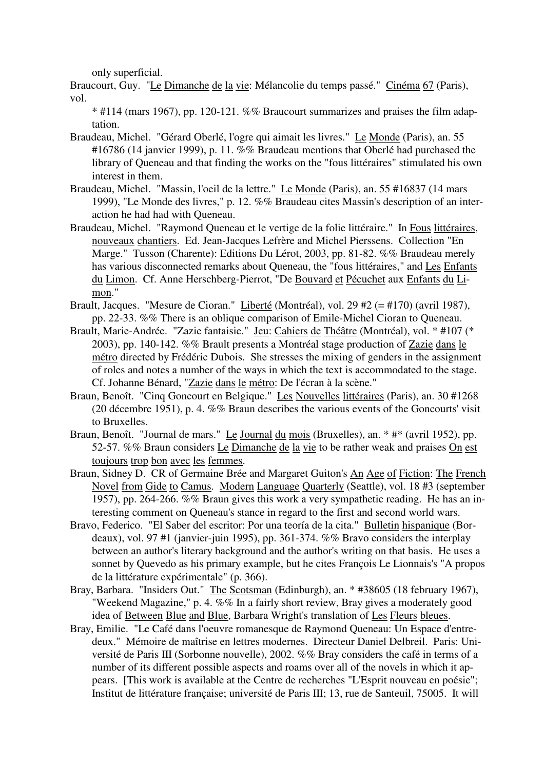only superficial.

Braucourt, Guy. "Le Dimanche de la vie: Mélancolie du temps passé." Cinéma 67 (Paris), vol.

\* #114 (mars 1967), pp. 120-121. %% Braucourt summarizes and praises the film adaptation.

- Braudeau, Michel. "Gérard Oberlé, l'ogre qui aimait les livres." Le Monde (Paris), an. 55 #16786 (14 janvier 1999), p. 11. %% Braudeau mentions that Oberlé had purchased the library of Queneau and that finding the works on the "fous littéraires" stimulated his own interest in them.
- Braudeau, Michel. "Massin, l'oeil de la lettre." Le Monde (Paris), an. 55 #16837 (14 mars 1999), "Le Monde des livres," p. 12. %% Braudeau cites Massin's description of an interaction he had had with Queneau.
- Braudeau, Michel. "Raymond Queneau et le vertige de la folie littéraire." In Fous littéraires, nouveaux chantiers. Ed. Jean-Jacques Lefrère and Michel Pierssens. Collection "En Marge." Tusson (Charente): Editions Du Lérot, 2003, pp. 81-82. %% Braudeau merely has various disconnected remarks about Queneau, the "fous littéraires," and Les Enfants du Limon. Cf. Anne Herschberg-Pierrot, "De Bouvard et Pécuchet aux Enfants du Limon."
- Brault, Jacques. "Mesure de Cioran." Liberté (Montréal), vol. 29 #2 (= #170) (avril 1987), pp. 22-33. %% There is an oblique comparison of Emile-Michel Cioran to Queneau.
- Brault, Marie-Andrée. "Zazie fantaisie." Jeu: Cahiers de Théâtre (Montréal), vol. \* #107 (\* 2003), pp. 140-142. %% Brault presents a Montréal stage production of Zazie dans le métro directed by Frédéric Dubois. She stresses the mixing of genders in the assignment of roles and notes a number of the ways in which the text is accommodated to the stage. Cf. Johanne Bénard, "Zazie dans le métro: De l'écran à la scène."
- Braun, Benoît. "Cinq Goncourt en Belgique." Les Nouvelles littéraires (Paris), an. 30 #1268 (20 décembre 1951), p. 4. %% Braun describes the various events of the Goncourts' visit to Bruxelles.
- Braun, Benoît. "Journal de mars." Le Journal du mois (Bruxelles), an. \* #\* (avril 1952), pp. 52-57. %% Braun considers Le Dimanche de la vie to be rather weak and praises On est toujours trop bon avec les femmes.
- Braun, Sidney D. CR of Germaine Brée and Margaret Guiton's An Age of Fiction: The French Novel from Gide to Camus. Modern Language Quarterly (Seattle), vol. 18 #3 (september 1957), pp. 264-266. %% Braun gives this work a very sympathetic reading. He has an interesting comment on Queneau's stance in regard to the first and second world wars.
- Bravo, Federico. "El Saber del escritor: Por una teoría de la cita." Bulletin hispanique (Bordeaux), vol. 97 #1 (janvier-juin 1995), pp. 361-374. %% Bravo considers the interplay between an author's literary background and the author's writing on that basis. He uses a sonnet by Quevedo as his primary example, but he cites François Le Lionnais's "A propos de la littérature expérimentale" (p. 366).
- Bray, Barbara. "Insiders Out." The Scotsman (Edinburgh), an. \* #38605 (18 february 1967). "Weekend Magazine," p. 4. %% In a fairly short review, Bray gives a moderately good idea of Between Blue and Blue, Barbara Wright's translation of Les Fleurs bleues.
- Bray, Emilie. "Le Café dans l'oeuvre romanesque de Raymond Queneau: Un Espace d'entredeux." Mémoire de maîtrise en lettres modernes. Directeur Daniel Delbreil. Paris: Université de Paris III (Sorbonne nouvelle), 2002. %% Bray considers the café in terms of a number of its different possible aspects and roams over all of the novels in which it appears. [This work is available at the Centre de recherches "L'Esprit nouveau en poésie"; Institut de littérature française; université de Paris III; 13, rue de Santeuil, 75005. It will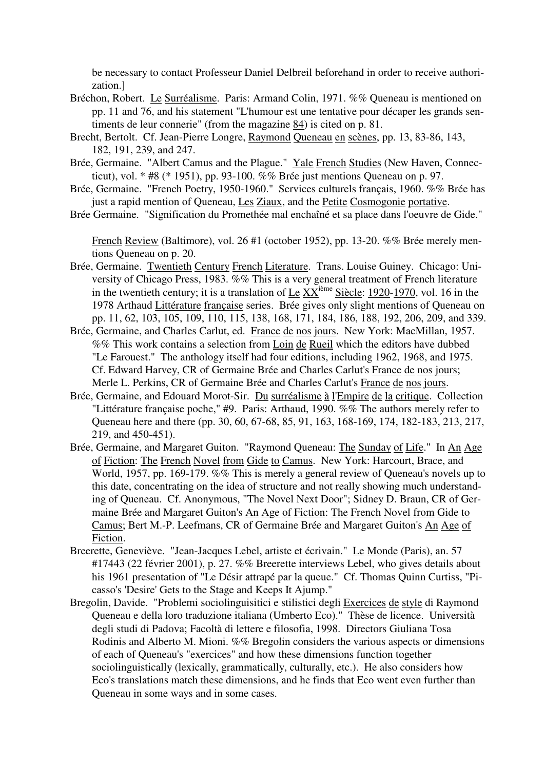be necessary to contact Professeur Daniel Delbreil beforehand in order to receive authorization.]

- Bréchon, Robert. Le Surréalisme. Paris: Armand Colin, 1971. %% Queneau is mentioned on pp. 11 and 76, and his statement "L'humour est une tentative pour décaper les grands sentiments de leur connerie" (from the magazine 84) is cited on p. 81.
- Brecht, Bertolt. Cf. Jean-Pierre Longre, Raymond Queneau en scènes, pp. 13, 83-86, 143, 182, 191, 239, and 247.
- Brée, Germaine. "Albert Camus and the Plague." Yale French Studies (New Haven, Connecticut), vol. \* #8 (\* 1951), pp. 93-100. %% Brée just mentions Queneau on p. 97.
- Brée, Germaine. "French Poetry, 1950-1960." Services culturels français, 1960. %% Brée has just a rapid mention of Queneau, Les Ziaux, and the Petite Cosmogonie portative.
- Brée Germaine. "Signification du Promethée mal enchaîné et sa place dans l'oeuvre de Gide."

French Review (Baltimore), vol. 26 #1 (october 1952), pp. 13-20. %% Brée merely mentions Queneau on p. 20.

- Brée, Germaine. Twentieth Century French Literature. Trans. Louise Guiney. Chicago: University of Chicago Press, 1983. %% This is a very general treatment of French literature in the twentieth century; it is a translation of  $\underline{L}e$   $\underline{XX}^{\text{ieme}}$  Siècle: 1920-1970, vol. 16 in the 1978 Arthaud Littérature française series. Brée gives only slight mentions of Queneau on pp. 11, 62, 103, 105, 109, 110, 115, 138, 168, 171, 184, 186, 188, 192, 206, 209, and 339.
- Brée, Germaine, and Charles Carlut, ed. France de nos jours. New York: MacMillan, 1957. %% This work contains a selection from Loin de Rueil which the editors have dubbed "Le Farouest." The anthology itself had four editions, including 1962, 1968, and 1975. Cf. Edward Harvey, CR of Germaine Brée and Charles Carlut's France de nos jours; Merle L. Perkins, CR of Germaine Brée and Charles Carlut's France de nos jours.
- Brée, Germaine, and Edouard Morot-Sir. Du surréalisme à l'Empire de la critique. Collection "Littérature française poche," #9. Paris: Arthaud, 1990. %% The authors merely refer to Queneau here and there (pp. 30, 60, 67-68, 85, 91, 163, 168-169, 174, 182-183, 213, 217, 219, and 450-451).
- Brée, Germaine, and Margaret Guiton. "Raymond Queneau: The Sunday of Life." In An Age of Fiction: The French Novel from Gide to Camus. New York: Harcourt, Brace, and World, 1957, pp. 169-179. %% This is merely a general review of Queneau's novels up to this date, concentrating on the idea of structure and not really showing much understanding of Queneau. Cf. Anonymous, "The Novel Next Door"; Sidney D. Braun, CR of Germaine Brée and Margaret Guiton's An Age of Fiction: The French Novel from Gide to Camus; Bert M.-P. Leefmans, CR of Germaine Brée and Margaret Guiton's An Age of Fiction.
- Breerette, Geneviève. "Jean-Jacques Lebel, artiste et écrivain." Le Monde (Paris), an. 57 #17443 (22 février 2001), p. 27. %% Breerette interviews Lebel, who gives details about his 1961 presentation of "Le Désir attrapé par la queue." Cf. Thomas Quinn Curtiss, "Picasso's 'Desire' Gets to the Stage and Keeps It Ajump."
- Bregolin, Davide. "Problemi sociolinguisitici e stilistici degli Exercices de style di Raymond Queneau e della loro traduzione italiana (Umberto Eco)." Thèse de licence. Università degli studi di Padova; Facoltà di lettere e filosofia, 1998. Directors Giuliana Tosa Rodinis and Alberto M. Mioni. %% Bregolin considers the various aspects or dimensions of each of Queneau's "exercices" and how these dimensions function together sociolinguistically (lexically, grammatically, culturally, etc.). He also considers how Eco's translations match these dimensions, and he finds that Eco went even further than Queneau in some ways and in some cases.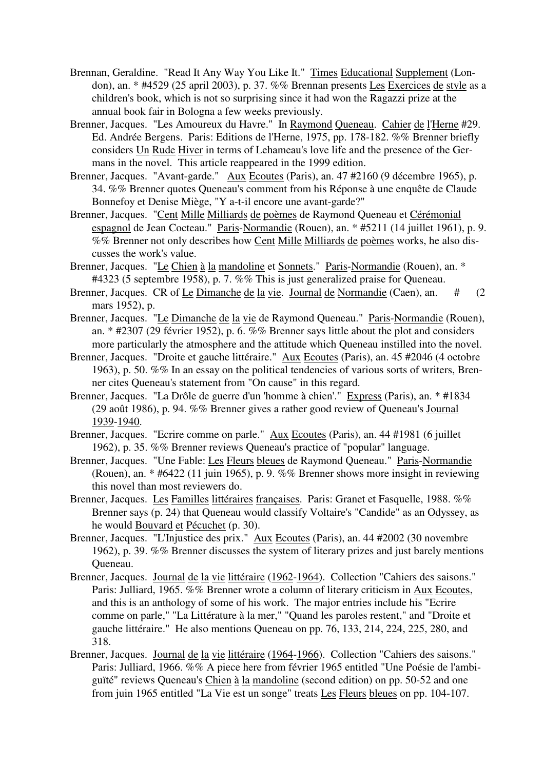- Brennan, Geraldine. "Read It Any Way You Like It." Times Educational Supplement (London), an. \* #4529 (25 april 2003), p. 37. %% Brennan presents Les Exercices de style as a children's book, which is not so surprising since it had won the Ragazzi prize at the annual book fair in Bologna a few weeks previously.
- Brenner, Jacques. "Les Amoureux du Havre." In Raymond Queneau. Cahier de l'Herne #29. Ed. Andrée Bergens. Paris: Editions de l'Herne, 1975, pp. 178-182. %% Brenner briefly considers Un Rude Hiver in terms of Lehameau's love life and the presence of the Germans in the novel. This article reappeared in the 1999 edition.
- Brenner, Jacques. "Avant-garde." Aux Ecoutes (Paris), an. 47 #2160 (9 décembre 1965), p. 34. %% Brenner quotes Queneau's comment from his Réponse à une enquête de Claude Bonnefoy et Denise Miège, "Y a-t-il encore une avant-garde?"
- Brenner, Jacques. "Cent Mille Milliards de poèmes de Raymond Queneau et Cérémonial espagnol de Jean Cocteau." Paris-Normandie (Rouen), an. \* #5211 (14 juillet 1961), p. 9. %% Brenner not only describes how Cent Mille Milliards de poèmes works, he also discusses the work's value.
- Brenner, Jacques. "Le Chien à la mandoline et Sonnets." Paris-Normandie (Rouen), an. \* #4323 (5 septembre 1958), p. 7. %% This is just generalized praise for Queneau.
- Brenner, Jacques. CR of Le Dimanche de la vie. Journal de Normandie (Caen), an. # (2) mars 1952), p.
- Brenner, Jacques. "Le Dimanche de la vie de Raymond Queneau." Paris-Normandie (Rouen), an. \* #2307 (29 février 1952), p. 6. %% Brenner says little about the plot and considers more particularly the atmosphere and the attitude which Queneau instilled into the novel.
- Brenner, Jacques. "Droite et gauche littéraire." Aux Ecoutes (Paris), an. 45 #2046 (4 octobre 1963), p. 50. %% In an essay on the political tendencies of various sorts of writers, Brenner cites Queneau's statement from "On cause" in this regard.
- Brenner, Jacques. "La Drôle de guerre d'un 'homme à chien'." Express (Paris), an. \* #1834 (29 août 1986), p. 94. %% Brenner gives a rather good review of Queneau's Journal 1939-1940.
- Brenner, Jacques. "Ecrire comme on parle." Aux Ecoutes (Paris), an. 44 #1981 (6 juillet 1962), p. 35. %% Brenner reviews Queneau's practice of "popular" language.
- Brenner, Jacques. "Une Fable: Les Fleurs bleues de Raymond Queneau." Paris-Normandie (Rouen), an. \* #6422 (11 juin 1965), p. 9. %% Brenner shows more insight in reviewing this novel than most reviewers do.
- Brenner, Jacques. Les Familles littéraires françaises. Paris: Granet et Fasquelle, 1988. %% Brenner says (p. 24) that Queneau would classify Voltaire's "Candide" as an Odyssey, as he would Bouvard et Pécuchet (p. 30).
- Brenner, Jacques. "L'Injustice des prix." Aux Ecoutes (Paris), an. 44 #2002 (30 novembre 1962), p. 39. %% Brenner discusses the system of literary prizes and just barely mentions Queneau.
- Brenner, Jacques. Journal de la vie littéraire (1962-1964). Collection "Cahiers des saisons." Paris: Julliard, 1965. %% Brenner wrote a column of literary criticism in Aux Ecoutes, and this is an anthology of some of his work. The major entries include his "Ecrire comme on parle," "La Littérature à la mer," "Quand les paroles restent," and "Droite et gauche littéraire." He also mentions Queneau on pp. 76, 133, 214, 224, 225, 280, and 318.
- Brenner, Jacques. Journal de la vie littéraire (1964-1966). Collection "Cahiers des saisons." Paris: Julliard, 1966. %% A piece here from février 1965 entitled "Une Poésie de l'ambiguïté" reviews Queneau's Chien à la mandoline (second edition) on pp. 50-52 and one from juin 1965 entitled "La Vie est un songe" treats Les Fleurs bleues on pp. 104-107.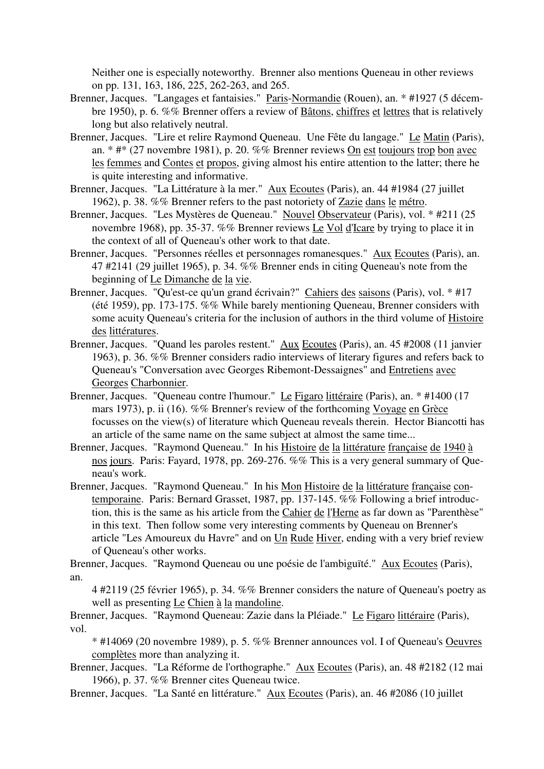Neither one is especially noteworthy. Brenner also mentions Queneau in other reviews on pp. 131, 163, 186, 225, 262-263, and 265.

- Brenner, Jacques. "Langages et fantaisies." Paris-Normandie (Rouen), an. \* #1927 (5 décembre 1950), p. 6. %% Brenner offers a review of Bâtons, chiffres et lettres that is relatively long but also relatively neutral.
- Brenner, Jacques. "Lire et relire Raymond Queneau. Une Fête du langage." Le Matin (Paris), an. \* #\* (27 novembre 1981), p. 20. %% Brenner reviews On est toujours trop bon avec les femmes and Contes et propos, giving almost his entire attention to the latter; there he is quite interesting and informative.
- Brenner, Jacques. "La Littérature à la mer." Aux Ecoutes (Paris), an. 44 #1984 (27 juillet 1962), p. 38. %% Brenner refers to the past notoriety of Zazie dans le métro.
- Brenner, Jacques. "Les Mystères de Queneau." Nouvel Observateur (Paris), vol. \* #211 (25 novembre 1968), pp. 35-37. %% Brenner reviews Le Vol d'Icare by trying to place it in the context of all of Queneau's other work to that date.
- Brenner, Jacques. "Personnes réelles et personnages romanesques." Aux Ecoutes (Paris), an. 47 #2141 (29 juillet 1965), p. 34. %% Brenner ends in citing Queneau's note from the beginning of Le Dimanche de la vie.
- Brenner, Jacques. "Qu'est-ce qu'un grand écrivain?" Cahiers des saisons (Paris), vol. \* #17 (été 1959), pp. 173-175. %% While barely mentioning Queneau, Brenner considers with some acuity Queneau's criteria for the inclusion of authors in the third volume of Histoire des littératures.
- Brenner, Jacques. "Quand les paroles restent." Aux Ecoutes (Paris), an. 45 #2008 (11 janvier 1963), p. 36. %% Brenner considers radio interviews of literary figures and refers back to Queneau's "Conversation avec Georges Ribemont-Dessaignes" and Entretiens avec Georges Charbonnier.
- Brenner, Jacques. "Queneau contre l'humour." Le Figaro littéraire (Paris), an. \* #1400 (17 mars 1973), p. ii (16). %% Brenner's review of the forthcoming Voyage en Grèce focusses on the view(s) of literature which Queneau reveals therein. Hector Biancotti has an article of the same name on the same subject at almost the same time...
- Brenner, Jacques. "Raymond Queneau." In his Histoire de la littérature française de 1940 à nos jours. Paris: Fayard, 1978, pp. 269-276. %% This is a very general summary of Queneau's work.
- Brenner, Jacques. "Raymond Queneau." In his Mon Histoire de la littérature française contemporaine. Paris: Bernard Grasset, 1987, pp. 137-145. %% Following a brief introduction, this is the same as his article from the Cahier de l'Herne as far down as "Parenthèse" in this text. Then follow some very interesting comments by Queneau on Brenner's article "Les Amoureux du Havre" and on Un Rude Hiver, ending with a very brief review of Queneau's other works.

Brenner, Jacques. "Raymond Queneau ou une poésie de l'ambiguïté." Aux Ecoutes (Paris), an.

4 #2119 (25 février 1965), p. 34. %% Brenner considers the nature of Queneau's poetry as well as presenting Le Chien à la mandoline.

Brenner, Jacques. "Raymond Queneau: Zazie dans la Pléiade." Le Figaro littéraire (Paris), vol.

\* #14069 (20 novembre 1989), p. 5. %% Brenner announces vol. I of Queneau's Oeuvres complètes more than analyzing it.

Brenner, Jacques. "La Réforme de l'orthographe." Aux Ecoutes (Paris), an. 48 #2182 (12 mai 1966), p. 37. %% Brenner cites Queneau twice.

Brenner, Jacques. "La Santé en littérature." Aux Ecoutes (Paris), an. 46 #2086 (10 juillet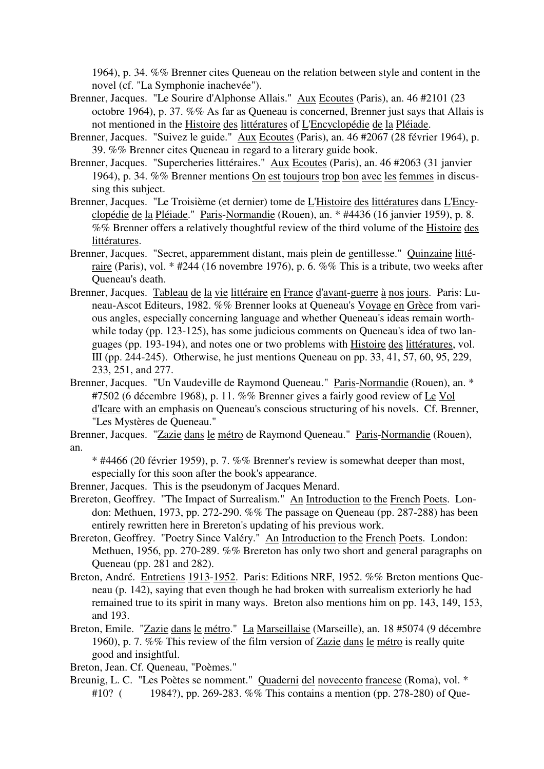1964), p. 34. %% Brenner cites Queneau on the relation between style and content in the novel (cf. "La Symphonie inachevée").

- Brenner, Jacques. "Le Sourire d'Alphonse Allais." Aux Ecoutes (Paris), an. 46 #2101 (23 octobre 1964), p. 37. %% As far as Queneau is concerned, Brenner just says that Allais is not mentioned in the Histoire des littératures of L'Encyclopédie de la Pléiade.
- Brenner, Jacques. "Suivez le guide." Aux Ecoutes (Paris), an. 46 #2067 (28 février 1964), p. 39. %% Brenner cites Queneau in regard to a literary guide book.
- Brenner, Jacques. "Supercheries littéraires." Aux Ecoutes (Paris), an. 46 #2063 (31 janvier 1964), p. 34. %% Brenner mentions On est toujours trop bon avec les femmes in discussing this subject.
- Brenner, Jacques. "Le Troisième (et dernier) tome de L'Histoire des littératures dans L'Encyclopédie de la Pléiade." Paris-Normandie (Rouen), an. \* #4436 (16 janvier 1959), p. 8. %% Brenner offers a relatively thoughtful review of the third volume of the Histoire des littératures.
- Brenner, Jacques. "Secret, apparemment distant, mais plein de gentillesse." Quinzaine littéraire (Paris), vol. \* #244 (16 novembre 1976), p. 6. %% This is a tribute, two weeks after Queneau's death.
- Brenner, Jacques. Tableau de la vie littéraire en France d'avant-guerre à nos jours. Paris: Luneau-Ascot Editeurs, 1982. %% Brenner looks at Queneau's Voyage en Grèce from various angles, especially concerning language and whether Queneau's ideas remain worthwhile today (pp. 123-125), has some judicious comments on Queneau's idea of two languages (pp. 193-194), and notes one or two problems with Histoire des littératures, vol. III (pp. 244-245). Otherwise, he just mentions Queneau on pp. 33, 41, 57, 60, 95, 229, 233, 251, and 277.
- Brenner, Jacques. "Un Vaudeville de Raymond Queneau." Paris-Normandie (Rouen), an. \* #7502 (6 décembre 1968), p. 11. %% Brenner gives a fairly good review of Le Vol d'Icare with an emphasis on Queneau's conscious structuring of his novels. Cf. Brenner, "Les Mystères de Queneau."
- Brenner, Jacques. "Zazie dans le métro de Raymond Queneau." Paris-Normandie (Rouen), an.
	- \* #4466 (20 février 1959), p. 7. %% Brenner's review is somewhat deeper than most, especially for this soon after the book's appearance.
- Brenner, Jacques. This is the pseudonym of Jacques Menard.
- Brereton, Geoffrey. "The Impact of Surrealism." An Introduction to the French Poets. London: Methuen, 1973, pp. 272-290. %% The passage on Queneau (pp. 287-288) has been entirely rewritten here in Brereton's updating of his previous work.
- Brereton, Geoffrey. "Poetry Since Valéry." An Introduction to the French Poets. London: Methuen, 1956, pp. 270-289. %% Brereton has only two short and general paragraphs on Queneau (pp. 281 and 282).
- Breton, André. Entretiens 1913-1952. Paris: Editions NRF, 1952. %% Breton mentions Queneau (p. 142), saying that even though he had broken with surrealism exteriorly he had remained true to its spirit in many ways. Breton also mentions him on pp. 143, 149, 153, and 193.
- Breton, Emile. "Zazie dans le métro." La Marseillaise (Marseille), an. 18 #5074 (9 décembre 1960), p. 7. %% This review of the film version of Zazie dans le métro is really quite good and insightful.
- Breton, Jean. Cf. Queneau, "Poèmes."
- Breunig, L. C. "Les Poètes se nomment." Quaderni del novecento francese (Roma), vol. \* #10? (1984?), pp. 269-283. %% This contains a mention (pp. 278-280) of Que-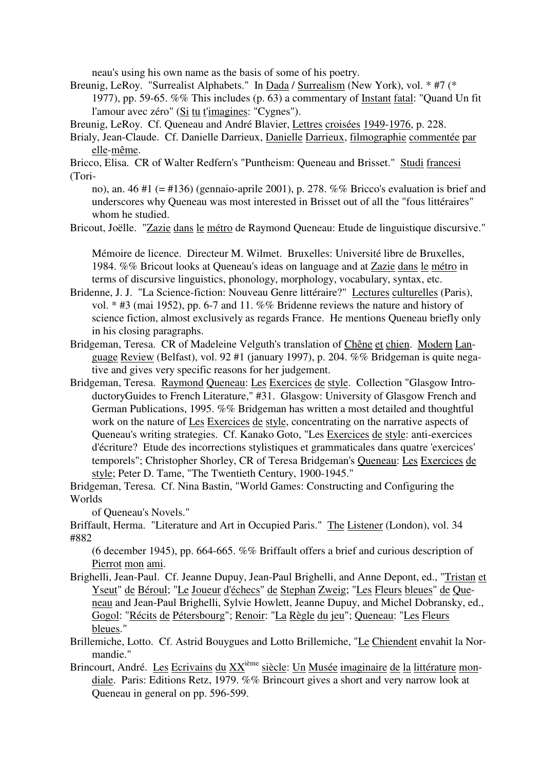neau's using his own name as the basis of some of his poetry.

Breunig, LeRoy. "Surrealist Alphabets." In Dada / Surrealism (New York), vol. \* #7 (\* 1977), pp. 59-65. %% This includes (p. 63) a commentary of Instant fatal: "Quand Un fit l'amour avec zéro" (Si tu t'imagines: "Cygnes").

Breunig, LeRoy. Cf. Queneau and André Blavier, Lettres croisées 1949-1976, p. 228.

Brialy, Jean-Claude. Cf. Danielle Darrieux, Danielle Darrieux, filmographie commentée par elle-même.

Bricco, Elisa. CR of Walter Redfern's "Puntheism: Queneau and Brisset." Studi francesi (Tori-

no), an. 46 #1 (= #136) (gennaio-aprile 2001), p. 278. %% Bricco's evaluation is brief and underscores why Queneau was most interested in Brisset out of all the "fous littéraires" whom he studied.

Bricout, Joëlle. "Zazie dans le métro de Raymond Queneau: Etude de linguistique discursive."

Mémoire de licence. Directeur M. Wilmet. Bruxelles: Université libre de Bruxelles, 1984. %% Bricout looks at Queneau's ideas on language and at Zazie dans le métro in terms of discursive linguistics, phonology, morphology, vocabulary, syntax, etc.

Bridenne, J. J. "La Science-fiction: Nouveau Genre littéraire?" Lectures culturelles (Paris), vol. \* #3 (mai 1952), pp. 6-7 and 11. %% Bridenne reviews the nature and history of science fiction, almost exclusively as regards France. He mentions Queneau briefly only in his closing paragraphs.

Bridgeman, Teresa. CR of Madeleine Velguth's translation of Chêne et chien. Modern Language Review (Belfast), vol. 92 #1 (january 1997), p. 204. %% Bridgeman is quite negative and gives very specific reasons for her judgement.

Bridgeman, Teresa. Raymond Queneau: Les Exercices de style. Collection "Glasgow IntroductoryGuides to French Literature," #31. Glasgow: University of Glasgow French and German Publications, 1995. %% Bridgeman has written a most detailed and thoughtful work on the nature of Les Exercices de style, concentrating on the narrative aspects of Queneau's writing strategies. Cf. Kanako Goto, "Les Exercices de style: anti-exercices d'écriture? Etude des incorrections stylistiques et grammaticales dans quatre 'exercices' temporels"; Christopher Shorley, CR of Teresa Bridgeman's Queneau: Les Exercices de style; Peter D. Tame, "The Twentieth Century, 1900-1945."

Bridgeman, Teresa. Cf. Nina Bastin, "World Games: Constructing and Configuring the Worlds

of Queneau's Novels."

Briffault, Herma. "Literature and Art in Occupied Paris." The Listener (London), vol. 34 #882

(6 december 1945), pp. 664-665. %% Briffault offers a brief and curious description of Pierrot mon ami.

- Brighelli, Jean-Paul. Cf. Jeanne Dupuy, Jean-Paul Brighelli, and Anne Depont, ed., "Tristan et Yseut" de Béroul; "Le Joueur d'échecs" de Stephan Zweig; "Les Fleurs bleues" de Queneau and Jean-Paul Brighelli, Sylvie Howlett, Jeanne Dupuy, and Michel Dobransky, ed., Gogol: "Récits de Pétersbourg"; Renoir: "La Règle du jeu"; Queneau: "Les Fleurs bleues."
- Brillemiche, Lotto. Cf. Astrid Bouygues and Lotto Brillemiche, "Le Chiendent envahit la Normandie."
- Brincourt, André. Les Ecrivains du XX<sup>ième</sup> siècle: Un Musée imaginaire de la littérature mondiale. Paris: Editions Retz, 1979. %% Brincourt gives a short and very narrow look at Queneau in general on pp. 596-599.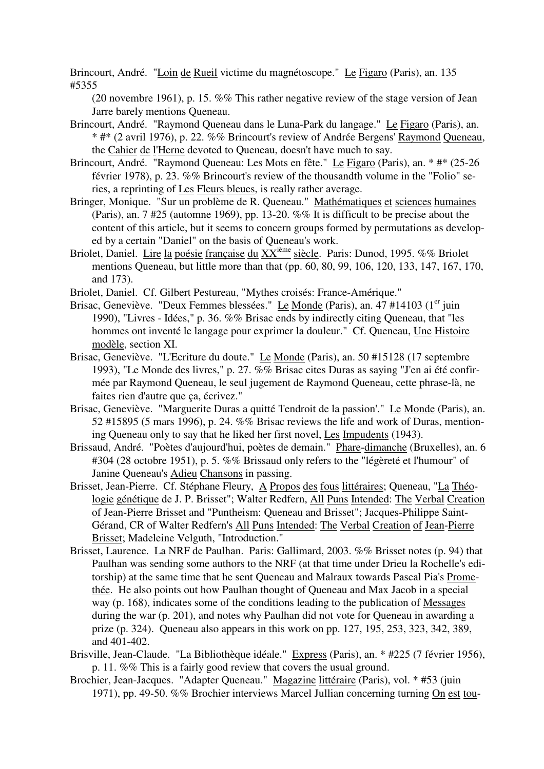Brincourt, André. "Loin de Rueil victime du magnétoscope." Le Figaro (Paris), an. 135 #5355

(20 novembre 1961), p. 15. %% This rather negative review of the stage version of Jean Jarre barely mentions Queneau.

- Brincourt, André. "Raymond Queneau dans le Luna-Park du langage." Le Figaro (Paris), an. \* #\* (2 avril 1976), p. 22. %% Brincourt's review of Andrée Bergens' Raymond Queneau, the Cahier de l'Herne devoted to Queneau, doesn't have much to say.
- Brincourt, André. "Raymond Queneau: Les Mots en fête." Le Figaro (Paris), an. \* #\* (25-26 février 1978), p. 23. %% Brincourt's review of the thousandth volume in the "Folio" series, a reprinting of Les Fleurs bleues, is really rather average.
- Bringer, Monique. "Sur un problème de R. Queneau." Mathématiques et sciences humaines (Paris), an. 7 #25 (automne 1969), pp. 13-20. %% It is difficult to be precise about the content of this article, but it seems to concern groups formed by permutations as developed by a certain "Daniel" on the basis of Queneau's work.
- Briolet, Daniel. Lire la poésie française du XX<sup>ième</sup> siècle. Paris: Dunod, 1995. %% Briolet mentions Queneau, but little more than that (pp. 60, 80, 99, 106, 120, 133, 147, 167, 170, and 173).
- Briolet, Daniel. Cf. Gilbert Pestureau, "Mythes croisés: France-Amérique."
- Brisac, Geneviève. "Deux Femmes blessées." Le Monde (Paris), an. 47 #14103 (1<sup>er</sup> juin 1990), "Livres - Idées," p. 36. %% Brisac ends by indirectly citing Queneau, that "les hommes ont inventé le langage pour exprimer la douleur." Cf. Queneau, Une Histoire modèle, section XI.
- Brisac, Geneviève. "L'Ecriture du doute." Le Monde (Paris), an. 50 #15128 (17 septembre 1993), "Le Monde des livres," p. 27. %% Brisac cites Duras as saying "J'en ai été confirmée par Raymond Queneau, le seul jugement de Raymond Queneau, cette phrase-là, ne faites rien d'autre que ça, écrivez."
- Brisac, Geneviève. "Marguerite Duras a quitté 'l'endroit de la passion'." Le Monde (Paris), an. 52 #15895 (5 mars 1996), p. 24. %% Brisac reviews the life and work of Duras, mentioning Queneau only to say that he liked her first novel, Les Impudents (1943).
- Brissaud, André. "Poètes d'aujourd'hui, poètes de demain." Phare-dimanche (Bruxelles), an. 6 #304 (28 octobre 1951), p. 5. %% Brissaud only refers to the "légèreté et l'humour" of Janine Queneau's Adieu Chansons in passing.
- Brisset, Jean-Pierre. Cf. Stéphane Fleury, A Propos des fous littéraires; Queneau, "La Théologie génétique de J. P. Brisset"; Walter Redfern, All Puns Intended: The Verbal Creation of Jean-Pierre Brisset and "Puntheism: Queneau and Brisset"; Jacques-Philippe Saint-Gérand, CR of Walter Redfern's All Puns Intended: The Verbal Creation of Jean-Pierre Brisset; Madeleine Velguth, "Introduction."
- Brisset, Laurence. La NRF de Paulhan. Paris: Gallimard, 2003. %% Brisset notes (p. 94) that Paulhan was sending some authors to the NRF (at that time under Drieu la Rochelle's editorship) at the same time that he sent Queneau and Malraux towards Pascal Pia's Promethée. He also points out how Paulhan thought of Queneau and Max Jacob in a special way (p. 168), indicates some of the conditions leading to the publication of Messages during the war (p. 201), and notes why Paulhan did not vote for Queneau in awarding a prize (p. 324). Queneau also appears in this work on pp. 127, 195, 253, 323, 342, 389, and 401-402.
- Brisville, Jean-Claude. "La Bibliothèque idéale." Express (Paris), an. \* #225 (7 février 1956), p. 11. %% This is a fairly good review that covers the usual ground.
- Brochier, Jean-Jacques. "Adapter Queneau." Magazine littéraire (Paris), vol. \* #53 (juin 1971), pp. 49-50. %% Brochier interviews Marcel Jullian concerning turning On est tou-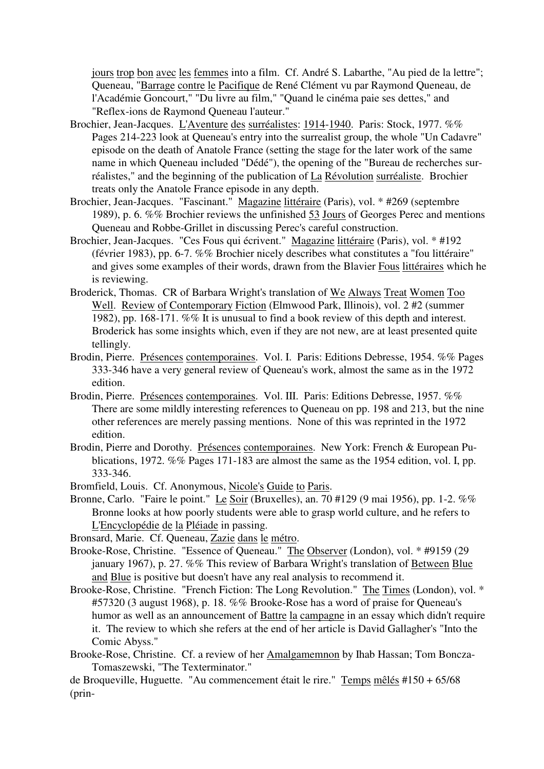jours trop bon avec les femmes into a film. Cf. André S. Labarthe, "Au pied de la lettre"; Queneau, "Barrage contre le Pacifique de René Clément vu par Raymond Queneau, de l'Académie Goncourt," "Du livre au film," "Quand le cinéma paie ses dettes," and "Reflex-ions de Raymond Queneau l'auteur."

- Brochier, Jean-Jacques. L'Aventure des surréalistes: 1914-1940. Paris: Stock, 1977. %% Pages 214-223 look at Queneau's entry into the surrealist group, the whole "Un Cadavre" episode on the death of Anatole France (setting the stage for the later work of the same name in which Queneau included "Dédé"), the opening of the "Bureau de recherches surréalistes," and the beginning of the publication of La Révolution surréaliste. Brochier treats only the Anatole France episode in any depth.
- Brochier, Jean-Jacques. "Fascinant." Magazine littéraire (Paris), vol. \* #269 (septembre 1989), p. 6. %% Brochier reviews the unfinished 53 Jours of Georges Perec and mentions Queneau and Robbe-Grillet in discussing Perec's careful construction.
- Brochier, Jean-Jacques. "Ces Fous qui écrivent." Magazine littéraire (Paris), vol. \* #192 (février 1983), pp. 6-7. %% Brochier nicely describes what constitutes a "fou littéraire" and gives some examples of their words, drawn from the Blavier Fous littéraires which he is reviewing.
- Broderick, Thomas. CR of Barbara Wright's translation of We Always Treat Women Too Well. Review of Contemporary Fiction (Elmwood Park, Illinois), vol. 2 #2 (summer 1982), pp. 168-171. %% It is unusual to find a book review of this depth and interest. Broderick has some insights which, even if they are not new, are at least presented quite tellingly.
- Brodin, Pierre. Présences contemporaines. Vol. I. Paris: Editions Debresse, 1954. %% Pages 333-346 have a very general review of Queneau's work, almost the same as in the 1972 edition.
- Brodin, Pierre. Présences contemporaines. Vol. III. Paris: Editions Debresse, 1957. %% There are some mildly interesting references to Queneau on pp. 198 and 213, but the nine other references are merely passing mentions. None of this was reprinted in the 1972 edition.
- Brodin, Pierre and Dorothy. Présences contemporaines. New York: French & European Publications, 1972. %% Pages 171-183 are almost the same as the 1954 edition, vol. I, pp. 333-346.
- Bromfield, Louis. Cf. Anonymous, Nicole's Guide to Paris.
- Bronne, Carlo. "Faire le point." Le Soir (Bruxelles), an. 70 #129 (9 mai 1956), pp. 1-2. %% Bronne looks at how poorly students were able to grasp world culture, and he refers to L'Encyclopédie de la Pléiade in passing.
- Bronsard, Marie. Cf. Queneau, Zazie dans le métro.
- Brooke-Rose, Christine. "Essence of Queneau." The Observer (London), vol. \* #9159 (29 january 1967), p. 27. %% This review of Barbara Wright's translation of Between Blue and Blue is positive but doesn't have any real analysis to recommend it.
- Brooke-Rose, Christine. "French Fiction: The Long Revolution." The Times (London), vol. \* #57320 (3 august 1968), p. 18. %% Brooke-Rose has a word of praise for Queneau's humor as well as an announcement of Battre la campagne in an essay which didn't require it. The review to which she refers at the end of her article is David Gallagher's "Into the Comic Abyss."
- Brooke-Rose, Christine. Cf. a review of her Amalgamemnon by Ihab Hassan; Tom Boncza-Tomaszewski, "The Texterminator."

de Broqueville, Huguette. "Au commencement était le rire." Temps mêlés #150 + 65/68 (prin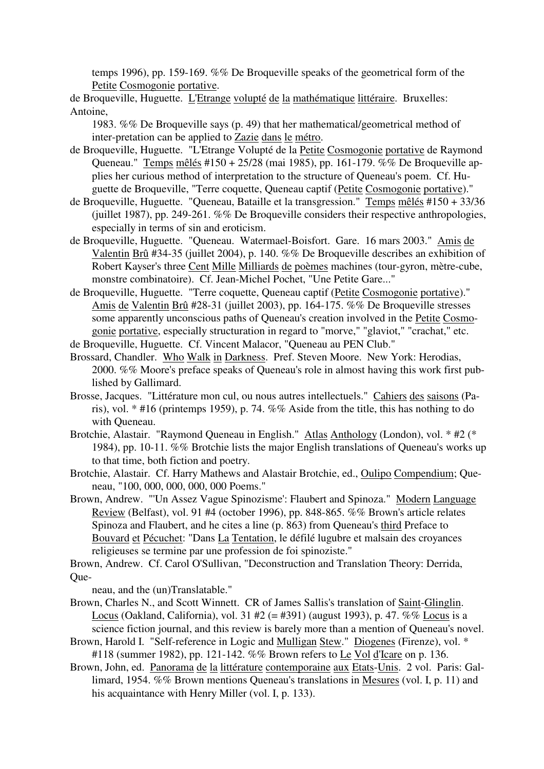temps 1996), pp. 159-169. %% De Broqueville speaks of the geometrical form of the Petite Cosmogonie portative.

de Broqueville, Huguette. L'Etrange volupté de la mathématique littéraire. Bruxelles: Antoine,

1983. %% De Broqueville says (p. 49) that her mathematical/geometrical method of inter-pretation can be applied to Zazie dans le métro.

- de Broqueville, Huguette. "L'Etrange Volupté de la Petite Cosmogonie portative de Raymond Queneau." Temps mêlés #150 + 25/28 (mai 1985), pp. 161-179. %% De Broqueville applies her curious method of interpretation to the structure of Queneau's poem. Cf. Huguette de Broqueville, "Terre coquette, Queneau captif (Petite Cosmogonie portative)."
- de Broqueville, Huguette. "Queneau, Bataille et la transgression." Temps mêlés #150 + 33/36 (juillet 1987), pp. 249-261. %% De Broqueville considers their respective anthropologies, especially in terms of sin and eroticism.
- de Broqueville, Huguette. "Queneau. Watermael-Boisfort. Gare. 16 mars 2003." Amis de Valentin Brû #34-35 (juillet 2004), p. 140. %% De Broqueville describes an exhibition of Robert Kayser's three Cent Mille Milliards de poèmes machines (tour-gyron, mètre-cube, monstre combinatoire). Cf. Jean-Michel Pochet, "Une Petite Gare..."
- de Broqueville, Huguette. "Terre coquette, Queneau captif (Petite Cosmogonie portative)." Amis de Valentin Brû #28-31 (juillet 2003), pp. 164-175. %% De Broqueville stresses some apparently unconscious paths of Queneau's creation involved in the Petite Cosmogonie portative, especially structuration in regard to "morve," "glaviot," "crachat," etc.

de Broqueville, Huguette. Cf. Vincent Malacor, "Queneau au PEN Club."

- Brossard, Chandler. Who Walk in Darkness. Pref. Steven Moore. New York: Herodias, 2000. %% Moore's preface speaks of Queneau's role in almost having this work first published by Gallimard.
- Brosse, Jacques. "Littérature mon cul, ou nous autres intellectuels." Cahiers des saisons (Paris), vol. \* #16 (printemps 1959), p. 74. %% Aside from the title, this has nothing to do with Queneau.
- Brotchie, Alastair. "Raymond Queneau in English." Atlas Anthology (London), vol. \* #2 (\* 1984), pp. 10-11. %% Brotchie lists the major English translations of Queneau's works up to that time, both fiction and poetry.
- Brotchie, Alastair. Cf. Harry Mathews and Alastair Brotchie, ed., Oulipo Compendium; Queneau, "100, 000, 000, 000, 000 Poems."
- Brown, Andrew. "'Un Assez Vague Spinozisme': Flaubert and Spinoza." Modern Language Review (Belfast), vol. 91 #4 (october 1996), pp. 848-865. %% Brown's article relates Spinoza and Flaubert, and he cites a line (p. 863) from Queneau's third Preface to Bouvard et Pécuchet: "Dans La Tentation, le défilé lugubre et malsain des croyances religieuses se termine par une profession de foi spinoziste."

Brown, Andrew. Cf. Carol O'Sullivan, "Deconstruction and Translation Theory: Derrida, Que-

neau, and the (un)Translatable."

- Brown, Charles N., and Scott Winnett. CR of James Sallis's translation of Saint-Glinglin. Locus (Oakland, California), vol. 31 #2 (= #391) (august 1993), p. 47. %% Locus is a science fiction journal, and this review is barely more than a mention of Queneau's novel.
- Brown, Harold I. "Self-reference in Logic and Mulligan Stew." Diogenes (Firenze), vol. \* #118 (summer 1982), pp. 121-142. %% Brown refers to Le Vol d'Icare on p. 136.
- Brown, John, ed. Panorama de la littérature contemporaine aux Etats-Unis. 2 vol. Paris: Gallimard, 1954. %% Brown mentions Queneau's translations in Mesures (vol. I, p. 11) and his acquaintance with Henry Miller (vol. I, p. 133).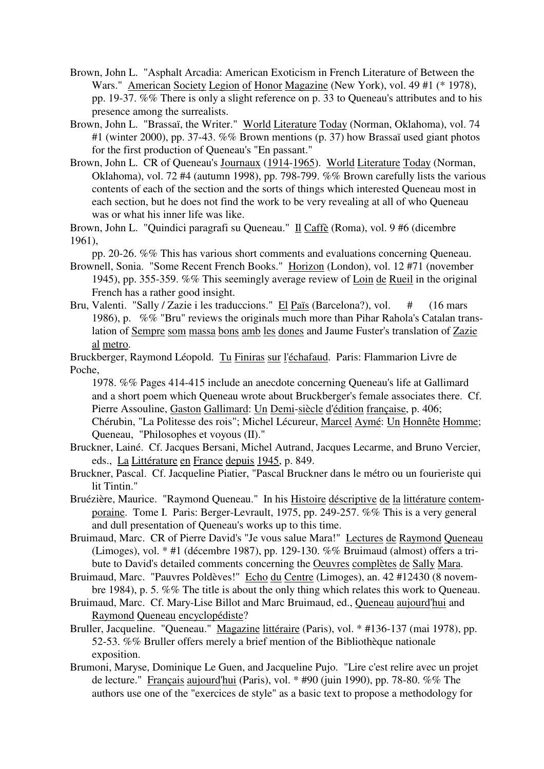- Brown, John L. "Asphalt Arcadia: American Exoticism in French Literature of Between the Wars." American Society Legion of Honor Magazine (New York), vol. 49 #1 (\* 1978), pp. 19-37. %% There is only a slight reference on p. 33 to Queneau's attributes and to his presence among the surrealists.
- Brown, John L. "Brassaï, the Writer." World Literature Today (Norman, Oklahoma), vol. 74 #1 (winter 2000), pp. 37-43. %% Brown mentions (p. 37) how Brassaï used giant photos for the first production of Queneau's "En passant."
- Brown, John L. CR of Queneau's Journaux (1914-1965). World Literature Today (Norman, Oklahoma), vol. 72 #4 (autumn 1998), pp. 798-799. %% Brown carefully lists the various contents of each of the section and the sorts of things which interested Queneau most in each section, but he does not find the work to be very revealing at all of who Queneau was or what his inner life was like.

Brown, John L. "Quindici paragrafi su Queneau." Il Caffè (Roma), vol. 9 #6 (dicembre 1961),

pp. 20-26. %% This has various short comments and evaluations concerning Queneau. Brownell, Sonia. "Some Recent French Books." Horizon (London), vol. 12 #71 (november

- 1945), pp. 355-359. %% This seemingly average review of Loin de Rueil in the original French has a rather good insight.
- Bru, Valenti. "Sally / Zazie i les traduccions." El Païs (Barcelona?), vol. # (16 mars 1986), p. %% "Bru" reviews the originals much more than Pihar Rahola's Catalan translation of Sempre som massa bons amb les dones and Jaume Fuster's translation of Zazie al metro.

Bruckberger, Raymond Léopold. Tu Finiras sur l'échafaud. Paris: Flammarion Livre de Poche,

1978. %% Pages 414-415 include an anecdote concerning Queneau's life at Gallimard and a short poem which Queneau wrote about Bruckberger's female associates there. Cf. Pierre Assouline, Gaston Gallimard: Un Demi-siècle d'édition française, p. 406;

Chérubin, "La Politesse des rois"; Michel Lécureur, Marcel Aymé: Un Honnête Homme; Queneau, "Philosophes et voyous (II)."

- Bruckner, Lainé. Cf. Jacques Bersani, Michel Autrand, Jacques Lecarme, and Bruno Vercier, eds., La Littérature en France depuis 1945, p. 849.
- Bruckner, Pascal. Cf. Jacqueline Piatier, "Pascal Bruckner dans le métro ou un fourieriste qui lit Tintin."
- Bruézière, Maurice. "Raymond Queneau." In his Histoire déscriptive de la littérature contemporaine. Tome I. Paris: Berger-Levrault, 1975, pp. 249-257. %% This is a very general and dull presentation of Queneau's works up to this time.
- Bruimaud, Marc. CR of Pierre David's "Je vous salue Mara!" Lectures de Raymond Queneau (Limoges), vol. \* #1 (décembre 1987), pp. 129-130. %% Bruimaud (almost) offers a tribute to David's detailed comments concerning the Oeuvres complètes de Sally Mara.
- Bruimaud, Marc. "Pauvres Poldèves!" Echo du Centre (Limoges), an. 42 #12430 (8 novembre 1984), p. 5. %% The title is about the only thing which relates this work to Queneau.
- Bruimaud, Marc. Cf. Mary-Lise Billot and Marc Bruimaud, ed., Queneau aujourd'hui and Raymond Queneau encyclopédiste?
- Bruller, Jacqueline. "Queneau." Magazine littéraire (Paris), vol. \* #136-137 (mai 1978), pp. 52-53. %% Bruller offers merely a brief mention of the Bibliothèque nationale exposition.
- Brumoni, Maryse, Dominique Le Guen, and Jacqueline Pujo. "Lire c'est relire avec un projet de lecture." Français aujourd'hui (Paris), vol. \* #90 (juin 1990), pp. 78-80. %% The authors use one of the "exercices de style" as a basic text to propose a methodology for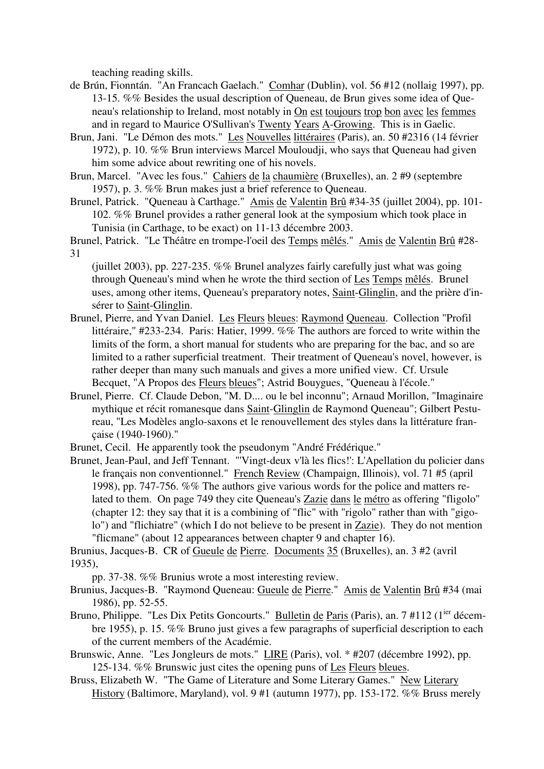teaching reading skills.

- de Brún, Fionntán. "An Francach Gaelach." Comhar (Dublin), vol. 56 #12 (nollaig 1997), pp. 13-15. %% Besides the usual description of Queneau, de Brun gives some idea of Queneau's relationship to Ireland, most notably in On est toujours trop bon avec les femmes and in regard to Maurice O'Sullivan's Twenty Years A-Growing. This is in Gaelic.
- Brun, Jani. "Le Démon des mots." Les Nouvelles littéraires (Paris), an. 50 #2316 (14 février 1972), p. 10. %% Brun interviews Marcel Mouloudji, who says that Queneau had given him some advice about rewriting one of his novels.
- Brun, Marcel. "Avec les fous." Cahiers de la chaumière (Bruxelles), an. 2 #9 (septembre 1957), p. 3. %% Brun makes just a brief reference to Queneau.
- Brunel, Patrick. "Queneau à Carthage." Amis de Valentin Brû #34-35 (juillet 2004), pp. 101- 102. %% Brunel provides a rather general look at the symposium which took place in Tunisia (in Carthage, to be exact) on 11-13 décembre 2003.

Brunel, Patrick. "Le Théâtre en trompe-l'oeil des Temps mêlés." Amis de Valentin Brû #28- 31

(juillet 2003), pp. 227-235.  $\%$  Brunel analyzes fairly carefully just what was going through Queneau's mind when he wrote the third section of Les Temps mêlés. Brunel uses, among other items, Queneau's preparatory notes, Saint-Glinglin, and the prière d'insérer to Saint-Glinglin.

- Brunel, Pierre, and Yvan Daniel. Les Fleurs bleues: Raymond Queneau. Collection "Profil littéraire," #233-234. Paris: Hatier, 1999. %% The authors are forced to write within the limits of the form, a short manual for students who are preparing for the bac, and so are limited to a rather superficial treatment. Their treatment of Queneau's novel, however, is rather deeper than many such manuals and gives a more unified view. Cf. Ursule Becquet, "A Propos des Fleurs bleues"; Astrid Bouygues, "Queneau à l'école."
- Brunel, Pierre. Cf. Claude Debon, "M. D.... ou le bel inconnu"; Arnaud Morillon, "Imaginaire mythique et récit romanesque dans Saint-Glinglin de Raymond Queneau"; Gilbert Pestureau, "Les Modèles anglo-saxons et le renouvellement des styles dans la littérature française (1940-1960)."
- Brunet, Cecil. He apparently took the pseudonym "André Frédérique."
- Brunet, Jean-Paul, and Jeff Tennant. "'Vingt-deux v'là les flics!': L'Apellation du policier dans le français non conventionnel." French Review (Champaign, Illinois), vol. 71 #5 (april 1998), pp. 747-756. %% The authors give various words for the police and matters related to them. On page 749 they cite Queneau's Zazie dans le métro as offering "fligolo" (chapter 12: they say that it is a combining of "flic" with "rigolo" rather than with "gigolo") and "flichiatre" (which I do not believe to be present in Zazie). They do not mention "flicmane" (about 12 appearances between chapter 9 and chapter 16).

Brunius, Jacques-B. CR of Gueule de Pierre. Documents 35 (Bruxelles), an. 3 #2 (avril 1935),

pp. 37-38. %% Brunius wrote a most interesting review.

- Brunius, Jacques-B. "Raymond Queneau: Gueule de Pierre." Amis de Valentin Brû #34 (mai 1986), pp. 52-55.
- Bruno, Philippe. "Les Dix Petits Goncourts." Bulletin de Paris (Paris), an. 7 #112 (1<sup>ier</sup> décembre 1955), p. 15. %% Bruno just gives a few paragraphs of superficial description to each of the current members of the Académie.
- Brunswic, Anne. "Les Jongleurs de mots." LIRE (Paris), vol. \* #207 (décembre 1992), pp. 125-134. %% Brunswic just cites the opening puns of Les Fleurs bleues.
- Bruss, Elizabeth W. "The Game of Literature and Some Literary Games." New Literary History (Baltimore, Maryland), vol. 9 #1 (autumn 1977), pp. 153-172. %% Bruss merely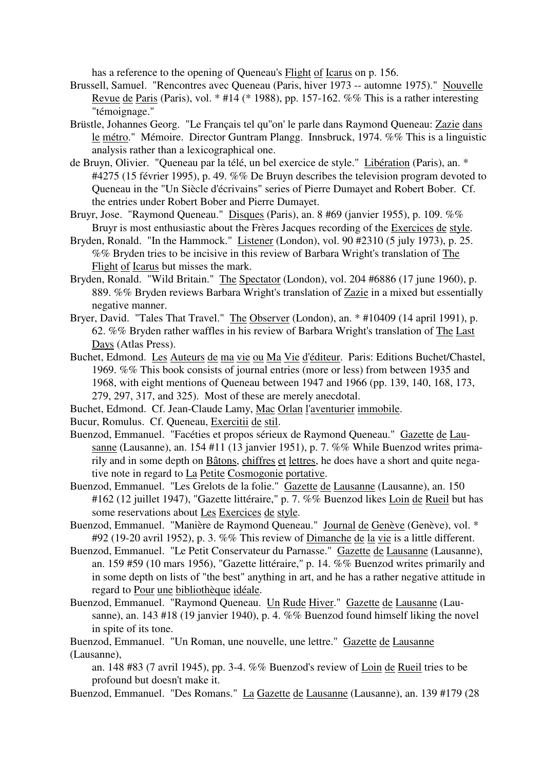has a reference to the opening of Queneau's Flight of Icarus on p. 156.

- Brussell, Samuel. "Rencontres avec Queneau (Paris, hiver 1973 -- automne 1975)." Nouvelle Revue de Paris (Paris), vol. \* #14 (\* 1988), pp. 157-162. %% This is a rather interesting "témoignage."
- Brüstle, Johannes Georg. "Le Français tel qu''on' le parle dans Raymond Queneau: Zazie dans le métro." Mémoire. Director Guntram Plangg. Innsbruck, 1974. %% This is a linguistic analysis rather than a lexicographical one.
- de Bruyn, Olivier. "Queneau par la télé, un bel exercice de style." Libération (Paris), an. \* #4275 (15 février 1995), p. 49. %% De Bruyn describes the television program devoted to Queneau in the "Un Siècle d'écrivains" series of Pierre Dumayet and Robert Bober. Cf. the entries under Robert Bober and Pierre Dumayet.
- Bruyr, Jose. "Raymond Queneau." Disques (Paris), an. 8 #69 (janvier 1955), p. 109. %% Bruyr is most enthusiastic about the Frères Jacques recording of the Exercices de style.
- Bryden, Ronald. "In the Hammock." Listener (London), vol. 90 #2310 (5 july 1973), p. 25. %% Bryden tries to be incisive in this review of Barbara Wright's translation of The Flight of Icarus but misses the mark.
- Bryden, Ronald. "Wild Britain." The Spectator (London), vol. 204 #6886 (17 june 1960), p. 889. %% Bryden reviews Barbara Wright's translation of Zazie in a mixed but essentially negative manner.
- Bryer, David. "Tales That Travel." The Observer (London), an. \* #10409 (14 april 1991), p. 62. %% Bryden rather waffles in his review of Barbara Wright's translation of The Last Days (Atlas Press).
- Buchet, Edmond. Les Auteurs de ma vie ou Ma Vie d'éditeur. Paris: Editions Buchet/Chastel, 1969. %% This book consists of journal entries (more or less) from between 1935 and 1968, with eight mentions of Queneau between 1947 and 1966 (pp. 139, 140, 168, 173, 279, 297, 317, and 325). Most of these are merely anecdotal.
- Buchet, Edmond. Cf. Jean-Claude Lamy, Mac Orlan l'aventurier immobile.
- Bucur, Romulus. Cf. Queneau, Exercitii de stil.
- Buenzod, Emmanuel. "Facéties et propos sérieux de Raymond Queneau." Gazette de Lausanne (Lausanne), an. 154 #11 (13 janvier 1951), p. 7. %% While Buenzod writes primarily and in some depth on Bâtons, chiffres et lettres, he does have a short and quite negative note in regard to La Petite Cosmogonie portative.
- Buenzod, Emmanuel. "Les Grelots de la folie." Gazette de Lausanne (Lausanne), an. 150 #162 (12 juillet 1947), "Gazette littéraire," p. 7. %% Buenzod likes Loin de Rueil but has some reservations about Les Exercices de style.
- Buenzod, Emmanuel. "Manière de Raymond Queneau." Journal de Genève (Genève), vol. \* #92 (19-20 avril 1952), p. 3. %% This review of <u>Dimanche de la vie</u> is a little different.
- Buenzod, Emmanuel. "Le Petit Conservateur du Parnasse." Gazette de Lausanne (Lausanne), an. 159 #59 (10 mars 1956), "Gazette littéraire," p. 14. %% Buenzod writes primarily and in some depth on lists of "the best" anything in art, and he has a rather negative attitude in regard to Pour une bibliothèque idéale.
- Buenzod, Emmanuel. "Raymond Queneau. Un Rude Hiver." Gazette de Lausanne (Lausanne), an. 143 #18 (19 janvier 1940), p. 4. %% Buenzod found himself liking the novel in spite of its tone.
- Buenzod, Emmanuel. "Un Roman, une nouvelle, une lettre." Gazette de Lausanne (Lausanne),

an. 148 #83 (7 avril 1945), pp. 3-4. %% Buenzod's review of Loin de Rueil tries to be profound but doesn't make it.

Buenzod, Emmanuel. "Des Romans." La Gazette de Lausanne (Lausanne), an. 139 #179 (28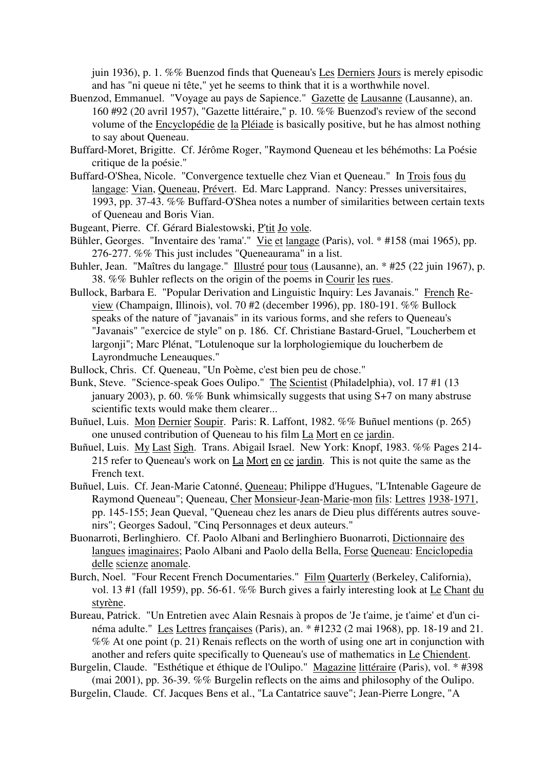juin 1936), p. 1. %% Buenzod finds that Queneau's Les Derniers Jours is merely episodic and has "ni queue ni tête," yet he seems to think that it is a worthwhile novel.

- Buenzod, Emmanuel. "Voyage au pays de Sapience." Gazette de Lausanne (Lausanne), an. 160 #92 (20 avril 1957), "Gazette littéraire," p. 10. %% Buenzod's review of the second volume of the Encyclopédie de la Pléiade is basically positive, but he has almost nothing to say about Queneau.
- Buffard-Moret, Brigitte. Cf. Jérôme Roger, "Raymond Queneau et les béhémoths: La Poésie critique de la poésie."
- Buffard-O'Shea, Nicole. "Convergence textuelle chez Vian et Queneau." In Trois fous du langage: Vian, Queneau, Prévert. Ed. Marc Lapprand. Nancy: Presses universitaires, 1993, pp. 37-43. %% Buffard-O'Shea notes a number of similarities between certain texts of Queneau and Boris Vian.
- Bugeant, Pierre. Cf. Gérard Bialestowski, P'tit Jo vole.
- Bühler, Georges. "Inventaire des 'rama'." Vie et langage (Paris), vol. \* #158 (mai 1965), pp. 276-277. %% This just includes "Queneaurama" in a list.
- Buhler, Jean. "Maîtres du langage." Illustré pour tous (Lausanne), an. \* #25 (22 juin 1967), p. 38. %% Buhler reflects on the origin of the poems in Courir les rues.
- Bullock, Barbara E. "Popular Derivation and Linguistic Inquiry: Les Javanais." French Review (Champaign, Illinois), vol. 70 #2 (december 1996), pp. 180-191. %% Bullock speaks of the nature of "javanais" in its various forms, and she refers to Queneau's "Javanais" "exercice de style" on p. 186. Cf. Christiane Bastard-Gruel, "Loucherbem et largonji"; Marc Plénat, "Lotulenoque sur la lorphologiemique du loucherbem de Layrondmuche Leneauques."
- Bullock, Chris. Cf. Queneau, "Un Poème, c'est bien peu de chose."
- Bunk, Steve. "Science-speak Goes Oulipo." The Scientist (Philadelphia), vol. 17 #1 (13 january 2003), p. 60. %% Bunk whimsically suggests that using S+7 on many abstruse scientific texts would make them clearer...
- Buñuel, Luis. Mon Dernier Soupir. Paris: R. Laffont, 1982. %% Buñuel mentions (p. 265) one unused contribution of Queneau to his film La Mort en ce jardin.
- Buñuel, Luis. My Last Sigh. Trans. Abigail Israel. New York: Knopf, 1983. %% Pages 214- 215 refer to Queneau's work on La Mort en ce jardin. This is not quite the same as the French text.
- Buñuel, Luis. Cf. Jean-Marie Catonné, Queneau; Philippe d'Hugues, "L'Intenable Gageure de Raymond Queneau"; Queneau, Cher Monsieur-Jean-Marie-mon fils: Lettres 1938-1971, pp. 145-155; Jean Queval, "Queneau chez les anars de Dieu plus différents autres souvenirs"; Georges Sadoul, "Cinq Personnages et deux auteurs."
- Buonarroti, Berlinghiero. Cf. Paolo Albani and Berlinghiero Buonarroti, Dictionnaire des langues imaginaires; Paolo Albani and Paolo della Bella, Forse Queneau: Enciclopedia delle scienze anomale.
- Burch, Noel. "Four Recent French Documentaries." Film Quarterly (Berkeley, California), vol. 13 #1 (fall 1959), pp. 56-61. %% Burch gives a fairly interesting look at Le Chant du styrène.
- Bureau, Patrick. "Un Entretien avec Alain Resnais à propos de 'Je t'aime, je t'aime' et d'un cinéma adulte." Les Lettres françaises (Paris), an. \* #1232 (2 mai 1968), pp. 18-19 and 21. %% At one point (p. 21) Renais reflects on the worth of using one art in conjunction with another and refers quite specifically to Queneau's use of mathematics in Le Chiendent.

Burgelin, Claude. "Esthétique et éthique de l'Oulipo." Magazine littéraire (Paris), vol. \* #398 (mai 2001), pp. 36-39. %% Burgelin reflects on the aims and philosophy of the Oulipo.

Burgelin, Claude. Cf. Jacques Bens et al., "La Cantatrice sauve"; Jean-Pierre Longre, "A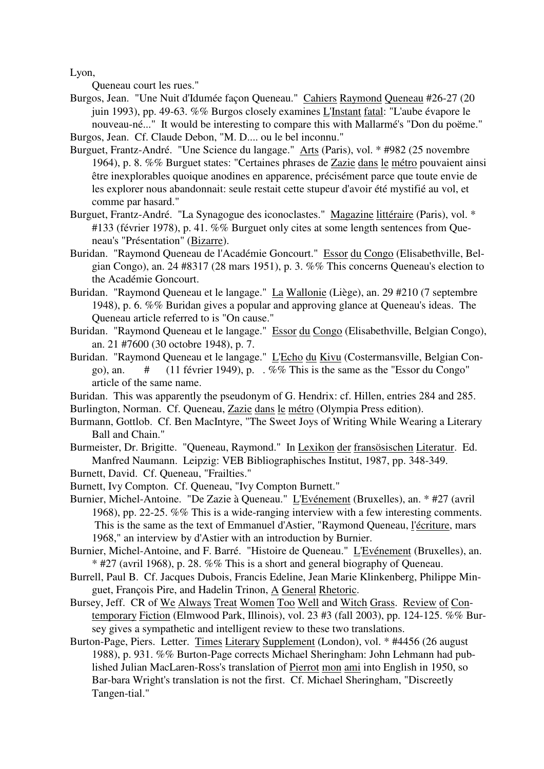Lyon,

Queneau court les rues."

- Burgos, Jean. "Une Nuit d'Idumée façon Queneau." Cahiers Raymond Queneau #26-27 (20 juin 1993), pp. 49-63. %% Burgos closely examines L'Instant fatal: "L'aube évapore le nouveau-né..." It would be interesting to compare this with Mallarmé's "Don du poëme."
- Burgos, Jean. Cf. Claude Debon, "M. D.... ou le bel inconnu."
- Burguet, Frantz-André. "Une Science du langage." Arts (Paris), vol. \* #982 (25 novembre 1964), p. 8. %% Burguet states: "Certaines phrases de Zazie dans le métro pouvaient ainsi être inexplorables quoique anodines en apparence, précisément parce que toute envie de les explorer nous abandonnait: seule restait cette stupeur d'avoir été mystifié au vol, et comme par hasard."
- Burguet, Frantz-André. "La Synagogue des iconoclastes." Magazine littéraire (Paris), vol. \* #133 (février 1978), p. 41. %% Burguet only cites at some length sentences from Queneau's "Présentation" (Bizarre).
- Buridan. "Raymond Queneau de l'Académie Goncourt." Essor du Congo (Elisabethville, Belgian Congo), an. 24 #8317 (28 mars 1951), p. 3. %% This concerns Queneau's election to the Académie Goncourt.
- Buridan. "Raymond Queneau et le langage." La Wallonie (Liège), an. 29 #210 (7 septembre 1948), p. 6. %% Buridan gives a popular and approving glance at Queneau's ideas. The Queneau article referred to is "On cause."
- Buridan. "Raymond Queneau et le langage." Essor du Congo (Elisabethville, Belgian Congo), an. 21 #7600 (30 octobre 1948), p. 7.
- Buridan. "Raymond Queneau et le langage." L'Echo du Kivu (Costermansville, Belgian Congo), an.  $\#$  (11 février 1949), p. . %% This is the same as the "Essor du Congo" article of the same name.
- Buridan. This was apparently the pseudonym of G. Hendrix: cf. Hillen, entries 284 and 285.
- Burlington, Norman. Cf. Queneau, Zazie dans le métro (Olympia Press edition).
- Burmann, Gottlob. Cf. Ben MacIntyre, "The Sweet Joys of Writing While Wearing a Literary Ball and Chain."
- Burmeister, Dr. Brigitte. "Queneau, Raymond." In Lexikon der fransösischen Literatur. Ed. Manfred Naumann. Leipzig: VEB Bibliographisches Institut, 1987, pp. 348-349.
- Burnett, David. Cf. Queneau, "Frailties."
- Burnett, Ivy Compton. Cf. Queneau, "Ivy Compton Burnett."
- Burnier, Michel-Antoine. "De Zazie à Queneau." L'Evénement (Bruxelles), an. \* #27 (avril 1968), pp. 22-25. %% This is a wide-ranging interview with a few interesting comments. This is the same as the text of Emmanuel d'Astier, "Raymond Queneau, l'écriture, mars 1968," an interview by d'Astier with an introduction by Burnier.
- Burnier, Michel-Antoine, and F. Barré. "Histoire de Queneau." L'Evénement (Bruxelles), an. \* #27 (avril 1968), p. 28. %% This is a short and general biography of Queneau.
- Burrell, Paul B. Cf. Jacques Dubois, Francis Edeline, Jean Marie Klinkenberg, Philippe Minguet, François Pire, and Hadelin Trinon, A General Rhetoric.
- Bursey, Jeff. CR of We Always Treat Women Too Well and Witch Grass. Review of Contemporary Fiction (Elmwood Park, Illinois), vol. 23 #3 (fall 2003), pp. 124-125. %% Bursey gives a sympathetic and intelligent review to these two translations.
- Burton-Page, Piers. Letter. Times Literary Supplement (London), vol. \* #4456 (26 august 1988), p. 931. %% Burton-Page corrects Michael Sheringham: John Lehmann had published Julian MacLaren-Ross's translation of Pierrot mon ami into English in 1950, so Bar-bara Wright's translation is not the first. Cf. Michael Sheringham, "Discreetly Tangen-tial."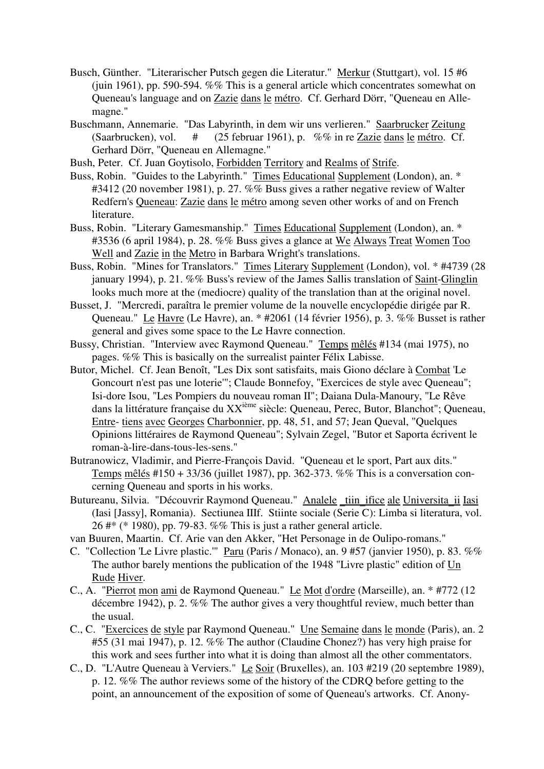- Busch, Günther. "Literarischer Putsch gegen die Literatur." Merkur (Stuttgart), vol. 15 #6 (juin 1961), pp. 590-594. %% This is a general article which concentrates somewhat on Queneau's language and on Zazie dans le métro. Cf. Gerhard Dörr, "Queneau en Allemagne."
- Buschmann, Annemarie. "Das Labyrinth, in dem wir uns verlieren." Saarbrucker Zeitung (Saarbrucken), vol. # (25 februar 1961), p. %% in re Zazie dans le métro. Cf. Gerhard Dörr, "Queneau en Allemagne."
- Bush, Peter. Cf. Juan Goytisolo, Forbidden Territory and Realms of Strife.
- Buss, Robin. "Guides to the Labyrinth." Times Educational Supplement (London), an. \* #3412 (20 november 1981), p. 27. %% Buss gives a rather negative review of Walter Redfern's Queneau: Zazie dans le métro among seven other works of and on French literature.
- Buss, Robin. "Literary Gamesmanship." Times Educational Supplement (London), an. \* #3536 (6 april 1984), p. 28. %% Buss gives a glance at We Always Treat Women Too Well and Zazie in the Metro in Barbara Wright's translations.
- Buss, Robin. "Mines for Translators." Times Literary Supplement (London), vol. \* #4739 (28 january 1994), p. 21. %% Buss's review of the James Sallis translation of Saint-Glinglin looks much more at the (mediocre) quality of the translation than at the original novel.
- Busset, J. "Mercredi, paraîtra le premier volume de la nouvelle encyclopédie dirigée par R. Queneau." Le Havre (Le Havre), an. \* #2061 (14 février 1956), p. 3. %% Busset is rather general and gives some space to the Le Havre connection.
- Bussy, Christian. "Interview avec Raymond Queneau." Temps mêlés #134 (mai 1975), no pages. %% This is basically on the surrealist painter Félix Labisse.
- Butor, Michel. Cf. Jean Benoît, "Les Dix sont satisfaits, mais Giono déclare à Combat 'Le Goncourt n'est pas une loterie'"; Claude Bonnefoy, "Exercices de style avec Queneau"; Isi-dore Isou, "Les Pompiers du nouveau roman II"; Daiana Dula-Manoury, "Le Rêve dans la littérature française du XXième siècle: Queneau, Perec, Butor, Blanchot"; Queneau, Entre- tiens avec Georges Charbonnier, pp. 48, 51, and 57; Jean Queval, "Quelques Opinions littéraires de Raymond Queneau"; Sylvain Zegel, "Butor et Saporta écrivent le roman-à-lire-dans-tous-les-sens."
- Butranowicz, Vladimir, and Pierre-François David. "Queneau et le sport, Part aux dits." Temps mêlés #150 + 33/36 (juillet 1987), pp. 362-373. %% This is a conversation concerning Queneau and sports in his works.
- Butureanu, Silvia. "Découvrir Raymond Queneau." Analele tiin ifice ale Universita ii Iasi (Iasi [Jassy], Romania). Sectiunea IIIf. Stiinte sociale (Serie C): Limba si literatura, vol. 26 #\* (\* 1980), pp. 79-83. %% This is just a rather general article.
- van Buuren, Maartin. Cf. Arie van den Akker, "Het Personage in de Oulipo-romans."
- C. "Collection 'Le Livre plastic.'" Paru (Paris / Monaco), an. 9 #57 (janvier 1950), p. 83. %% The author barely mentions the publication of the 1948 "Livre plastic" edition of Un Rude Hiver.
- C., A. "Pierrot mon ami de Raymond Queneau." Le Mot d'ordre (Marseille), an. \* #772 (12 décembre 1942), p. 2. %% The author gives a very thoughtful review, much better than the usual.
- C., C. "Exercices de style par Raymond Queneau." Une Semaine dans le monde (Paris), an. 2 #55 (31 mai 1947), p. 12. %% The author (Claudine Chonez?) has very high praise for this work and sees further into what it is doing than almost all the other commentators.
- C., D. "L'Autre Queneau à Verviers." Le Soir (Bruxelles), an. 103 #219 (20 septembre 1989), p. 12. %% The author reviews some of the history of the CDRQ before getting to the point, an announcement of the exposition of some of Queneau's artworks. Cf. Anony-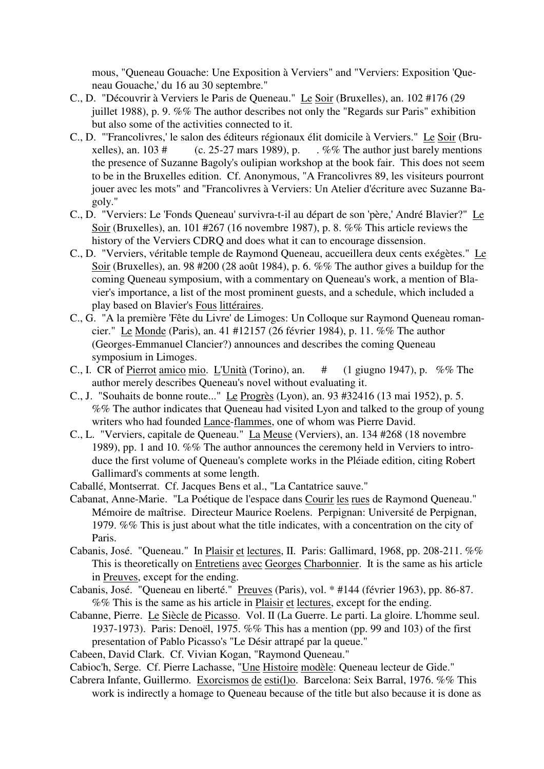mous, "Queneau Gouache: Une Exposition à Verviers" and "Verviers: Exposition 'Queneau Gouache,' du 16 au 30 septembre."

- C., D. "Découvrir à Verviers le Paris de Queneau." Le Soir (Bruxelles), an. 102 #176 (29 juillet 1988), p. 9. %% The author describes not only the "Regards sur Paris" exhibition but also some of the activities connected to it.
- C., D. "'Francolivres,' le salon des éditeurs régionaux élit domicile à Verviers." Le Soir (Bruxelles), an. 103  $\#$  (c. 25-27 mars 1989), p.  $\therefore$  %% The author just barely mentions the presence of Suzanne Bagoly's oulipian workshop at the book fair. This does not seem to be in the Bruxelles edition. Cf. Anonymous, "A Francolivres 89, les visiteurs pourront jouer avec les mots" and "Francolivres à Verviers: Un Atelier d'écriture avec Suzanne Bagoly."
- C., D. "Verviers: Le 'Fonds Queneau' survivra-t-il au départ de son 'père,' André Blavier?" Le Soir (Bruxelles), an. 101 #267 (16 novembre 1987), p. 8. %% This article reviews the history of the Verviers CDRQ and does what it can to encourage dissension.
- C., D. "Verviers, véritable temple de Raymond Queneau, accueillera deux cents exégètes." Le Soir (Bruxelles), an. 98 #200 (28 août 1984), p. 6. %% The author gives a buildup for the coming Queneau symposium, with a commentary on Queneau's work, a mention of Blavier's importance, a list of the most prominent guests, and a schedule, which included a play based on Blavier's Fous littéraires.
- C., G. "A la première 'Fête du Livre' de Limoges: Un Colloque sur Raymond Queneau romancier." Le Monde (Paris), an. 41 #12157 (26 février 1984), p. 11. %% The author (Georges-Emmanuel Clancier?) announces and describes the coming Queneau symposium in Limoges.
- C., I. CR of Pierrot amico mio. L'Unità (Torino), an. # (1 giugno 1947), p. %% The author merely describes Queneau's novel without evaluating it.
- C., J. "Souhaits de bonne route..." Le Progrès (Lyon), an. 93 #32416 (13 mai 1952), p. 5. %% The author indicates that Queneau had visited Lyon and talked to the group of young writers who had founded Lance-flammes, one of whom was Pierre David.
- C., L. "Verviers, capitale de Queneau." La Meuse (Verviers), an. 134 #268 (18 novembre 1989), pp. 1 and 10. %% The author announces the ceremony held in Verviers to introduce the first volume of Queneau's complete works in the Pléiade edition, citing Robert Gallimard's comments at some length.
- Caballé, Montserrat. Cf. Jacques Bens et al., "La Cantatrice sauve."
- Cabanat, Anne-Marie. "La Poétique de l'espace dans Courir les rues de Raymond Queneau." Mémoire de maîtrise. Directeur Maurice Roelens. Perpignan: Université de Perpignan, 1979. %% This is just about what the title indicates, with a concentration on the city of Paris.
- Cabanis, José. "Queneau." In Plaisir et lectures, II. Paris: Gallimard, 1968, pp. 208-211. %% This is theoretically on Entretiens avec Georges Charbonnier. It is the same as his article in Preuves, except for the ending.
- Cabanis, José. "Queneau en liberté." Preuves (Paris), vol. \* #144 (février 1963), pp. 86-87. %% This is the same as his article in Plaisir et lectures, except for the ending.
- Cabanne, Pierre. Le Siècle de Picasso. Vol. II (La Guerre. Le parti. La gloire. L'homme seul. 1937-1973). Paris: Denoël, 1975. %% This has a mention (pp. 99 and 103) of the first presentation of Pablo Picasso's "Le Désir attrapé par la queue."
- Cabeen, David Clark. Cf. Vivian Kogan, "Raymond Queneau."
- Cabioc'h, Serge. Cf. Pierre Lachasse, "Une Histoire modèle: Queneau lecteur de Gide."
- Cabrera Infante, Guillermo. Exorcismos de esti(l)o. Barcelona: Seix Barral, 1976. %% This work is indirectly a homage to Queneau because of the title but also because it is done as